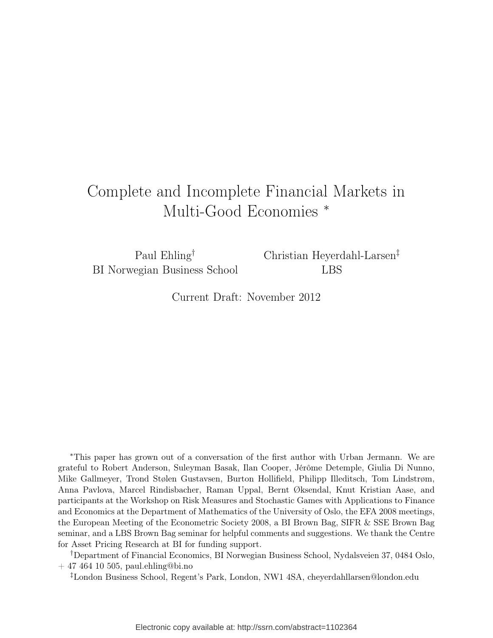# Complete and Incomplete Financial Markets in Multi-Good Economies <sup>∗</sup>

Paul Ehling† BI Norwegian Business School Christian Heyerdahl-Larsen‡ LBS

Current Draft: November 2012

<sup>∗</sup>This paper has grown out of a conversation of the first author with Urban Jermann. We are grateful to Robert Anderson, Suleyman Basak, Ilan Cooper, Jérôme Detemple, Giulia Di Nunno, Mike Gallmeyer, Trond Stølen Gustavsen, Burton Hollifield, Philipp Illeditsch, Tom Lindstrøm, Anna Pavlova, Marcel Rindisbacher, Raman Uppal, Bernt Øksendal, Knut Kristian Aase, and participants at the Workshop on Risk Measures and Stochastic Games with Applications to Finance and Economics at the Department of Mathematics of the University of Oslo, the EFA 2008 meetings, the European Meeting of the Econometric Society 2008, a BI Brown Bag, SIFR & SSE Brown Bag seminar, and a LBS Brown Bag seminar for helpful comments and suggestions. We thank the Centre for Asset Pricing Research at BI for funding support.

†Department of Financial Economics, BI Norwegian Business School, Nydalsveien 37, 0484 Oslo, + 47 464 10 505, paul.ehling@bi.no

‡London Business School, Regent's Park, London, NW1 4SA, cheyerdahllarsen@london.edu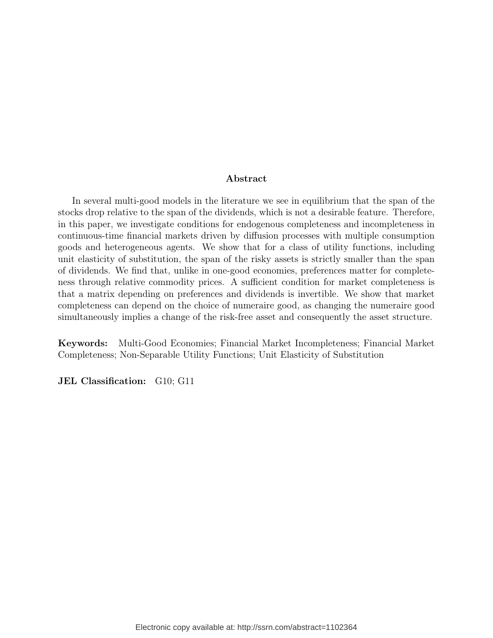#### Abstract

In several multi-good models in the literature we see in equilibrium that the span of the stocks drop relative to the span of the dividends, which is not a desirable feature. Therefore, in this paper, we investigate conditions for endogenous completeness and incompleteness in continuous-time financial markets driven by diffusion processes with multiple consumption goods and heterogeneous agents. We show that for a class of utility functions, including unit elasticity of substitution, the span of the risky assets is strictly smaller than the span of dividends. We find that, unlike in one-good economies, preferences matter for completeness through relative commodity prices. A sufficient condition for market completeness is that a matrix depending on preferences and dividends is invertible. We show that market completeness can depend on the choice of numeraire good, as changing the numeraire good simultaneously implies a change of the risk-free asset and consequently the asset structure.

Keywords: Multi-Good Economies; Financial Market Incompleteness; Financial Market Completeness; Non-Separable Utility Functions; Unit Elasticity of Substitution

JEL Classification: G10; G11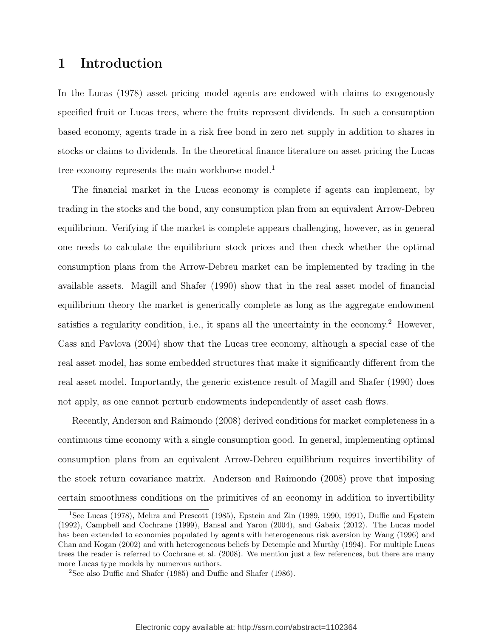# 1 Introduction

In the Lucas (1978) asset pricing model agents are endowed with claims to exogenously specified fruit or Lucas trees, where the fruits represent dividends. In such a consumption based economy, agents trade in a risk free bond in zero net supply in addition to shares in stocks or claims to dividends. In the theoretical finance literature on asset pricing the Lucas tree economy represents the main workhorse model.<sup>1</sup>

The financial market in the Lucas economy is complete if agents can implement, by trading in the stocks and the bond, any consumption plan from an equivalent Arrow-Debreu equilibrium. Verifying if the market is complete appears challenging, however, as in general one needs to calculate the equilibrium stock prices and then check whether the optimal consumption plans from the Arrow-Debreu market can be implemented by trading in the available assets. Magill and Shafer (1990) show that in the real asset model of financial equilibrium theory the market is generically complete as long as the aggregate endowment satisfies a regularity condition, i.e., it spans all the uncertainty in the economy.<sup>2</sup> However, Cass and Pavlova (2004) show that the Lucas tree economy, although a special case of the real asset model, has some embedded structures that make it significantly different from the real asset model. Importantly, the generic existence result of Magill and Shafer (1990) does not apply, as one cannot perturb endowments independently of asset cash flows.

Recently, Anderson and Raimondo (2008) derived conditions for market completeness in a continuous time economy with a single consumption good. In general, implementing optimal consumption plans from an equivalent Arrow-Debreu equilibrium requires invertibility of the stock return covariance matrix. Anderson and Raimondo (2008) prove that imposing certain smoothness conditions on the primitives of an economy in addition to invertibility

<sup>1</sup>See Lucas (1978), Mehra and Prescott (1985), Epstein and Zin (1989, 1990, 1991), Duffie and Epstein (1992), Campbell and Cochrane (1999), Bansal and Yaron (2004), and Gabaix (2012). The Lucas model has been extended to economies populated by agents with heterogeneous risk aversion by Wang (1996) and Chan and Kogan (2002) and with heterogeneous beliefs by Detemple and Murthy (1994). For multiple Lucas trees the reader is referred to Cochrane et al. (2008). We mention just a few references, but there are many more Lucas type models by numerous authors.

<sup>2</sup>See also Duffie and Shafer (1985) and Duffie and Shafer (1986).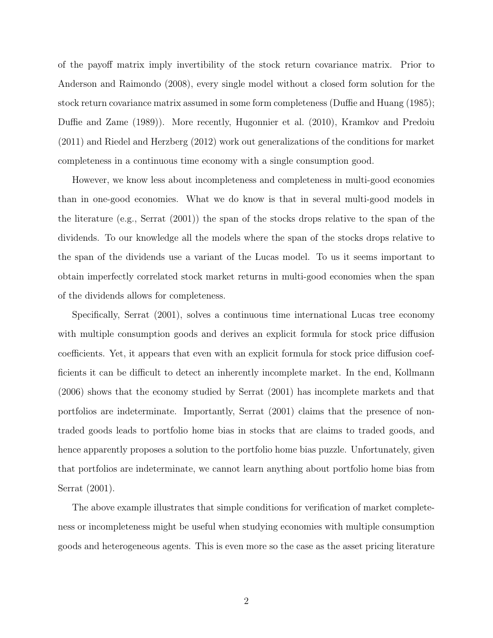of the payoff matrix imply invertibility of the stock return covariance matrix. Prior to Anderson and Raimondo (2008), every single model without a closed form solution for the stock return covariance matrix assumed in some form completeness (Duffie and Huang (1985); Duffie and Zame (1989)). More recently, Hugonnier et al. (2010), Kramkov and Predoiu (2011) and Riedel and Herzberg (2012) work out generalizations of the conditions for market completeness in a continuous time economy with a single consumption good.

However, we know less about incompleteness and completeness in multi-good economies than in one-good economies. What we do know is that in several multi-good models in the literature (e.g., Serrat (2001)) the span of the stocks drops relative to the span of the dividends. To our knowledge all the models where the span of the stocks drops relative to the span of the dividends use a variant of the Lucas model. To us it seems important to obtain imperfectly correlated stock market returns in multi-good economies when the span of the dividends allows for completeness.

Specifically, Serrat (2001), solves a continuous time international Lucas tree economy with multiple consumption goods and derives an explicit formula for stock price diffusion coefficients. Yet, it appears that even with an explicit formula for stock price diffusion coefficients it can be difficult to detect an inherently incomplete market. In the end, Kollmann (2006) shows that the economy studied by Serrat (2001) has incomplete markets and that portfolios are indeterminate. Importantly, Serrat (2001) claims that the presence of nontraded goods leads to portfolio home bias in stocks that are claims to traded goods, and hence apparently proposes a solution to the portfolio home bias puzzle. Unfortunately, given that portfolios are indeterminate, we cannot learn anything about portfolio home bias from Serrat (2001).

The above example illustrates that simple conditions for verification of market completeness or incompleteness might be useful when studying economies with multiple consumption goods and heterogeneous agents. This is even more so the case as the asset pricing literature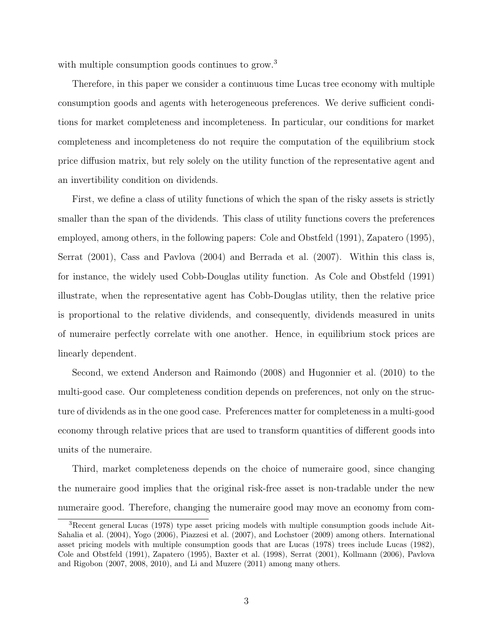with multiple consumption goods continues to grow.<sup>3</sup>

Therefore, in this paper we consider a continuous time Lucas tree economy with multiple consumption goods and agents with heterogeneous preferences. We derive sufficient conditions for market completeness and incompleteness. In particular, our conditions for market completeness and incompleteness do not require the computation of the equilibrium stock price diffusion matrix, but rely solely on the utility function of the representative agent and an invertibility condition on dividends.

First, we define a class of utility functions of which the span of the risky assets is strictly smaller than the span of the dividends. This class of utility functions covers the preferences employed, among others, in the following papers: Cole and Obstfeld (1991), Zapatero (1995), Serrat (2001), Cass and Pavlova (2004) and Berrada et al. (2007). Within this class is, for instance, the widely used Cobb-Douglas utility function. As Cole and Obstfeld (1991) illustrate, when the representative agent has Cobb-Douglas utility, then the relative price is proportional to the relative dividends, and consequently, dividends measured in units of numeraire perfectly correlate with one another. Hence, in equilibrium stock prices are linearly dependent.

Second, we extend Anderson and Raimondo (2008) and Hugonnier et al. (2010) to the multi-good case. Our completeness condition depends on preferences, not only on the structure of dividends as in the one good case. Preferences matter for completeness in a multi-good economy through relative prices that are used to transform quantities of different goods into units of the numeraire.

Third, market completeness depends on the choice of numeraire good, since changing the numeraire good implies that the original risk-free asset is non-tradable under the new numeraire good. Therefore, changing the numeraire good may move an economy from com-

<sup>3</sup>Recent general Lucas (1978) type asset pricing models with multiple consumption goods include Ait-Sahalia et al. (2004), Yogo (2006), Piazzesi et al. (2007), and Lochstoer (2009) among others. International asset pricing models with multiple consumption goods that are Lucas (1978) trees include Lucas (1982), Cole and Obstfeld (1991), Zapatero (1995), Baxter et al. (1998), Serrat (2001), Kollmann (2006), Pavlova and Rigobon (2007, 2008, 2010), and Li and Muzere (2011) among many others.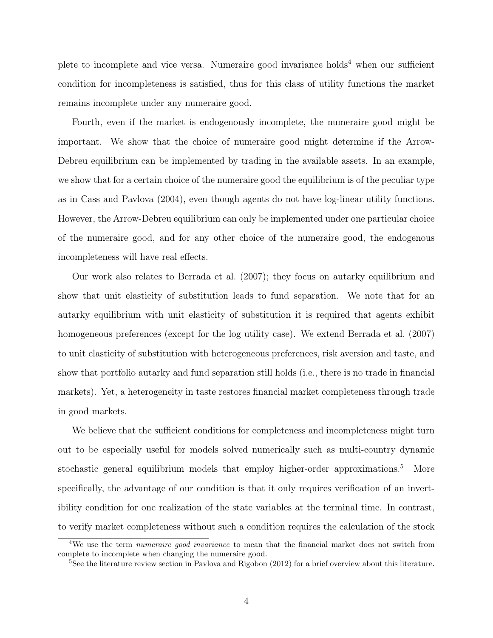plete to incomplete and vice versa. Numeraire good invariance holds<sup>4</sup> when our sufficient condition for incompleteness is satisfied, thus for this class of utility functions the market remains incomplete under any numeraire good.

Fourth, even if the market is endogenously incomplete, the numeraire good might be important. We show that the choice of numeraire good might determine if the Arrow-Debreu equilibrium can be implemented by trading in the available assets. In an example, we show that for a certain choice of the numeraire good the equilibrium is of the peculiar type as in Cass and Pavlova (2004), even though agents do not have log-linear utility functions. However, the Arrow-Debreu equilibrium can only be implemented under one particular choice of the numeraire good, and for any other choice of the numeraire good, the endogenous incompleteness will have real effects.

Our work also relates to Berrada et al. (2007); they focus on autarky equilibrium and show that unit elasticity of substitution leads to fund separation. We note that for an autarky equilibrium with unit elasticity of substitution it is required that agents exhibit homogeneous preferences (except for the log utility case). We extend Berrada et al. (2007) to unit elasticity of substitution with heterogeneous preferences, risk aversion and taste, and show that portfolio autarky and fund separation still holds (i.e., there is no trade in financial markets). Yet, a heterogeneity in taste restores financial market completeness through trade in good markets.

We believe that the sufficient conditions for completeness and incompleteness might turn out to be especially useful for models solved numerically such as multi-country dynamic stochastic general equilibrium models that employ higher-order approximations.<sup>5</sup> More specifically, the advantage of our condition is that it only requires verification of an invertibility condition for one realization of the state variables at the terminal time. In contrast, to verify market completeness without such a condition requires the calculation of the stock

<sup>&</sup>lt;sup>4</sup>We use the term numeraire good invariance to mean that the financial market does not switch from complete to incomplete when changing the numeraire good.

<sup>&</sup>lt;sup>5</sup>See the literature review section in Pavlova and Rigobon (2012) for a brief overview about this literature.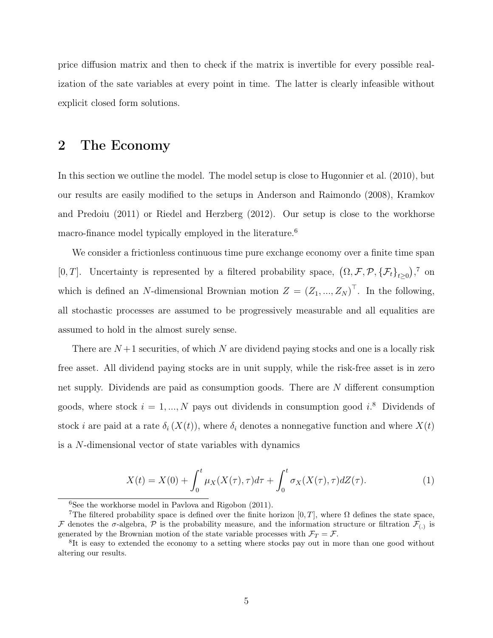price diffusion matrix and then to check if the matrix is invertible for every possible realization of the sate variables at every point in time. The latter is clearly infeasible without explicit closed form solutions.

## 2 The Economy

In this section we outline the model. The model setup is close to Hugonnier et al. (2010), but our results are easily modified to the setups in Anderson and Raimondo (2008), Kramkov and Predoiu (2011) or Riedel and Herzberg (2012). Our setup is close to the workhorse macro-finance model typically employed in the literature.<sup>6</sup>

We consider a frictionless continuous time pure exchange economy over a finite time span [0, T]. Uncertainty is represented by a filtered probability space,  $(\Omega, \mathcal{F}, \mathcal{P}, {\{\mathcal{F}_t\}}_{t\geq 0})$ ,  $\infty$ which is defined an N-dimensional Brownian motion  $Z = (Z_1, ..., Z_N)^T$ . In the following, all stochastic processes are assumed to be progressively measurable and all equalities are assumed to hold in the almost surely sense.

There are  $N+1$  securities, of which N are dividend paying stocks and one is a locally risk free asset. All dividend paying stocks are in unit supply, while the risk-free asset is in zero net supply. Dividends are paid as consumption goods. There are N different consumption goods, where stock  $i = 1, ..., N$  pays out dividends in consumption good  $i$ <sup>8</sup>. Dividends of stock i are paid at a rate  $\delta_i(X(t))$ , where  $\delta_i$  denotes a nonnegative function and where  $X(t)$ is a N-dimensional vector of state variables with dynamics

$$
X(t) = X(0) + \int_0^t \mu_X(X(\tau), \tau) d\tau + \int_0^t \sigma_X(X(\tau), \tau) dZ(\tau).
$$
 (1)

 $6$ See the workhorse model in Pavlova and Rigobon (2011).

<sup>&</sup>lt;sup>7</sup>The filtered probability space is defined over the finite horizon [0, T], where  $\Omega$  defines the state space, F denotes the  $\sigma$ -algebra, P is the probability measure, and the information structure or filtration  $\mathcal{F}_{(.)}$  is generated by the Brownian motion of the state variable processes with  $\mathcal{F}_T = \mathcal{F}$ .

<sup>&</sup>lt;sup>8</sup>It is easy to extended the economy to a setting where stocks pay out in more than one good without altering our results.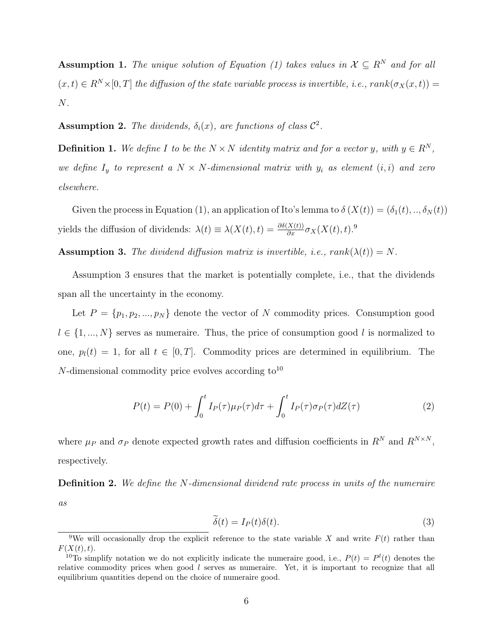Assumption 1. The unique solution of Equation (1) takes values in  $\mathcal{X} \subseteq R^N$  and for all  $(x, t) \in R^N \times [0, T]$  the diffusion of the state variable process is invertible, i.e.,  $rank(\sigma_X(x, t)) =$ N.

**Assumption 2.** The dividends,  $\delta_i(x)$ , are functions of class  $\mathcal{C}^2$ .

**Definition 1.** We define I to be the  $N \times N$  identity matrix and for a vector y, with  $y \in R^N$ , we define  $I_y$  to represent a  $N \times N$ -dimensional matrix with  $y_i$  as element  $(i, i)$  and zero elsewhere.

Given the process in Equation (1), an application of Ito's lemma to  $\delta(X(t)) = (\delta_1(t), ..., \delta_N(t))$ yields the diffusion of dividends:  $\lambda(t) \equiv \lambda(X(t), t) = \frac{\partial \delta(X(t))}{\partial x} \sigma_X(X(t), t)$ .<sup>9</sup>

**Assumption 3.** The dividend diffusion matrix is invertible, i.e.,  $rank(\lambda(t)) = N$ .

Assumption 3 ensures that the market is potentially complete, i.e., that the dividends span all the uncertainty in the economy.

Let  $P = \{p_1, p_2, ..., p_N\}$  denote the vector of N commodity prices. Consumption good  $l \in \{1, ..., N\}$  serves as numeraire. Thus, the price of consumption good l is normalized to one,  $p_l(t) = 1$ , for all  $t \in [0, T]$ . Commodity prices are determined in equilibrium. The  $N$ -dimensional commodity price evolves according to<sup>10</sup>

$$
P(t) = P(0) + \int_0^t I_P(\tau)\mu_P(\tau)d\tau + \int_0^t I_P(\tau)\sigma_P(\tau)dZ(\tau)
$$
\n(2)

where  $\mu_P$  and  $\sigma_P$  denote expected growth rates and diffusion coefficients in  $R^N$  and  $R^{N \times N}$ . respectively.

Definition 2. We define the N-dimensional dividend rate process in units of the numeraire as

$$
\widetilde{\delta}(t) = I_P(t)\delta(t). \tag{3}
$$

<sup>&</sup>lt;sup>9</sup>We will occasionally drop the explicit reference to the state variable X and write  $F(t)$  rather than  $F(X(t), t)$ .

<sup>&</sup>lt;sup>10</sup>To simplify notation we do not explicitly indicate the numeraire good, i.e.,  $P(t) = P^{l}(t)$  denotes the relative commodity prices when good l serves as numeraire. Yet, it is important to recognize that all equilibrium quantities depend on the choice of numeraire good.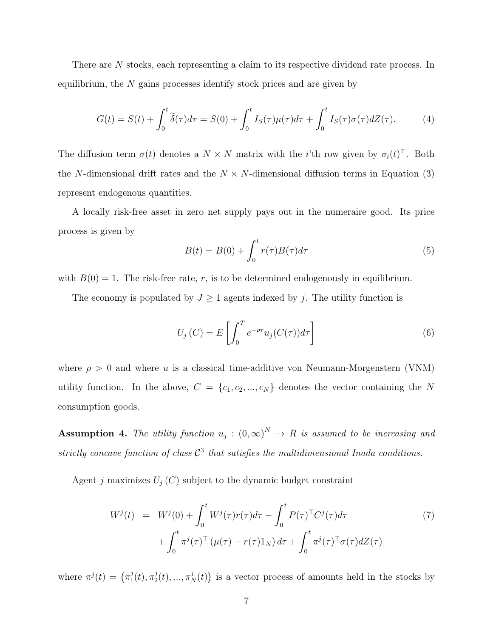There are N stocks, each representing a claim to its respective dividend rate process. In equilibrium, the  $N$  gains processes identify stock prices and are given by

$$
G(t) = S(t) + \int_0^t \tilde{\delta}(\tau) d\tau = S(0) + \int_0^t I_S(\tau) \mu(\tau) d\tau + \int_0^t I_S(\tau) \sigma(\tau) dZ(\tau).
$$
 (4)

The diffusion term  $\sigma(t)$  denotes a  $N \times N$  matrix with the *i*'th row given by  $\sigma_i(t)^\top$ . Both the N-dimensional drift rates and the  $N \times N$ -dimensional diffusion terms in Equation (3) represent endogenous quantities.

A locally risk-free asset in zero net supply pays out in the numeraire good. Its price process is given by

$$
B(t) = B(0) + \int_0^t r(\tau)B(\tau)d\tau
$$
\n(5)

with  $B(0) = 1$ . The risk-free rate, r, is to be determined endogenously in equilibrium.

The economy is populated by  $J \geq 1$  agents indexed by j. The utility function is

$$
U_j(C) = E\left[\int_0^T e^{-\rho \tau} u_j(C(\tau)) d\tau\right]
$$
\n(6)

where  $\rho > 0$  and where u is a classical time-additive von Neumann-Morgenstern (VNM) utility function. In the above,  $C = \{c_1, c_2, ..., c_N\}$  denotes the vector containing the N consumption goods.

**Assumption 4.** The utility function  $u_j : (0, \infty)^N \to R$  is assumed to be increasing and strictly concave function of class  $C^3$  that satisfies the multidimensional Inada conditions.

Agent j maximizes  $U_j(C)$  subject to the dynamic budget constraint

$$
W^{j}(t) = W^{j}(0) + \int_{0}^{t} W^{j}(\tau)r(\tau)d\tau - \int_{0}^{t} P(\tau)^{\top}C^{j}(\tau)d\tau + \int_{0}^{t} \pi^{j}(\tau)^{\top}(\mu(\tau) - r(\tau)1_{N})d\tau + \int_{0}^{t} \pi^{j}(\tau)^{\top}\sigma(\tau)dZ(\tau)
$$
\n(7)

where  $\pi^{j}(t) = (\pi_1^{j})$  $_{1}^{j}(t),\pi_{2}^{j}% (t)=\frac{\pi}{\hbar}\frac{\dot{\varphi}}{2\hbar}\left( \frac{\dot{\varphi}}{2},\varphi\right) \left( \frac{\dot{\varphi}}{2},\varphi\right)$  $\mathcal{L}_2^j(t), \ldots, \pi_N^j(t)$  is a vector process of amounts held in the stocks by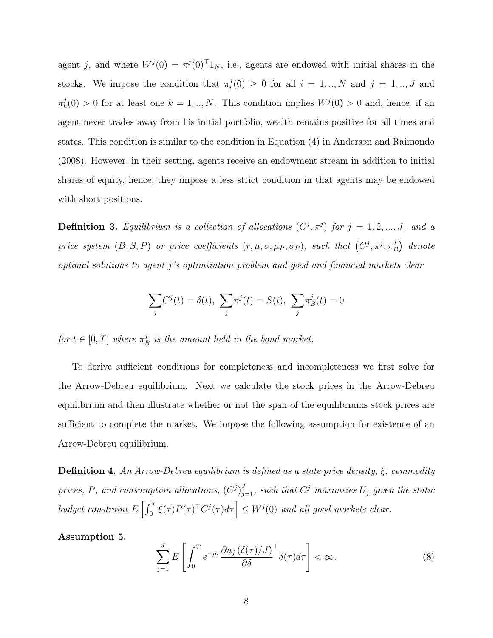agent j, and where  $W^{j}(0) = \pi^{j}(0)^{\top}1_{N}$ , i.e., agents are endowed with initial shares in the stocks. We impose the condition that  $\pi_i^j$  $i<sup>j</sup>(0) \ge 0$  for all  $i = 1, ..., N$  and  $j = 1, ..., J$  and  $\pi_k^j$  $k<sup>j</sup>(0) > 0$  for at least one  $k = 1, ..., N$ . This condition implies  $W<sup>j</sup>(0) > 0$  and, hence, if an agent never trades away from his initial portfolio, wealth remains positive for all times and states. This condition is similar to the condition in Equation (4) in Anderson and Raimondo (2008). However, in their setting, agents receive an endowment stream in addition to initial shares of equity, hence, they impose a less strict condition in that agents may be endowed with short positions.

**Definition 3.** Equilibrium is a collection of allocations  $(C^j, \pi^j)$  for  $j = 1, 2, ..., J$ , and a price system  $(B, S, P)$  or price coefficients  $(r, \mu, \sigma, \mu_P, \sigma_P)$ , such that  $(C^j, \pi^j, \pi_P^j)$  $\binom{j}{B}$  denote optimal solutions to agent j's optimization problem and good and financial markets clear

$$
\sum_{j} C^{j}(t) = \delta(t), \ \sum_{j} \pi^{j}(t) = S(t), \ \sum_{j} \pi^{j}(t) = 0
$$

for  $t \in [0, T]$  where  $\pi_I^j$  $\frac{J}{B}$  is the amount held in the bond market.

To derive sufficient conditions for completeness and incompleteness we first solve for the Arrow-Debreu equilibrium. Next we calculate the stock prices in the Arrow-Debreu equilibrium and then illustrate whether or not the span of the equilibriums stock prices are sufficient to complete the market. We impose the following assumption for existence of an Arrow-Debreu equilibrium.

**Definition 4.** An Arrow-Debreu equilibrium is defined as a state price density,  $\xi$ , commodity prices, P, and consumption allocations,  $(C^{j})_{j=1}^{J}$ , such that  $C^{j}$  maximizes  $U_{j}$  given the static budget constraint  $E\left[\int_0^T \xi(\tau)P(\tau)^\top C^j(\tau)d\tau\right] \leq W^j(0)$  and all good markets clear.

Assumption 5.

$$
\sum_{j=1}^{J} E\left[\int_0^T e^{-\rho \tau} \frac{\partial u_j \left(\delta(\tau)/J\right)}{\partial \delta}^{\top} \delta(\tau) d\tau\right] < \infty.
$$
\n(8)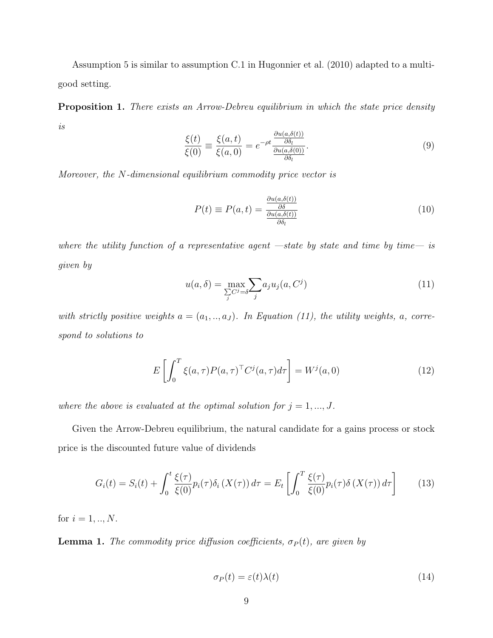Assumption 5 is similar to assumption C.1 in Hugonnier et al. (2010) adapted to a multigood setting.

**Proposition 1.** There exists an Arrow-Debreu equilibrium in which the state price density is

$$
\frac{\xi(t)}{\xi(0)} \equiv \frac{\xi(a,t)}{\xi(a,0)} = e^{-\rho t} \frac{\frac{\partial u(a,\delta(t))}{\partial \delta_l}}{\frac{\partial u(a,\delta(0))}{\partial \delta_l}}.
$$
\n(9)

Moreover, the N-dimensional equilibrium commodity price vector is

$$
P(t) \equiv P(a, t) = \frac{\frac{\partial u(a, \delta(t))}{\partial \delta}}{\frac{\partial u(a, \delta(t))}{\partial \delta_t}}
$$
(10)

where the utility function of a representative agent  $-state$  by state and time by time- is given by

$$
u(a,\delta) = \max_{\sum C^j = \delta} \sum_j a_j u_j(a, C^j)
$$
\n(11)

with strictly positive weights  $a = (a_1, ..., a_J)$ . In Equation (11), the utility weights, a, correspond to solutions to

$$
E\left[\int_0^T \xi(a,\tau) P(a,\tau)^\top C^j(a,\tau) d\tau\right] = W^j(a,0)
$$
\n(12)

where the above is evaluated at the optimal solution for  $j = 1, ..., J$ .

Given the Arrow-Debreu equilibrium, the natural candidate for a gains process or stock price is the discounted future value of dividends

$$
G_i(t) = S_i(t) + \int_0^t \frac{\xi(\tau)}{\xi(0)} p_i(\tau) \delta_i(X(\tau)) d\tau = E_t \left[ \int_0^T \frac{\xi(\tau)}{\xi(0)} p_i(\tau) \delta(X(\tau)) d\tau \right]
$$
(13)

for  $i = 1, ..., N$ .

**Lemma 1.** The commodity price diffusion coefficients,  $\sigma_P(t)$ , are given by

$$
\sigma_P(t) = \varepsilon(t)\lambda(t) \tag{14}
$$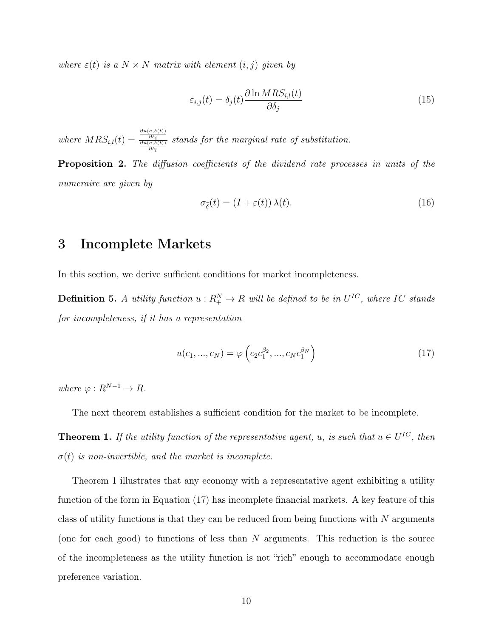where  $\varepsilon(t)$  is a  $N \times N$  matrix with element  $(i, j)$  given by

$$
\varepsilon_{i,j}(t) = \delta_j(t) \frac{\partial \ln MRS_{i,l}(t)}{\partial \delta_j} \tag{15}
$$

where  $MRS_{i,l}(t) =$  $\frac{\partial u(a,\delta(t))}{\partial \delta_i}$ <br>  $\frac{\partial u(a,\delta(t))}{\partial \delta_l}$ stands for the marginal rate of substitution.

Proposition 2. The diffusion coefficients of the dividend rate processes in units of the numeraire are given by

$$
\sigma_{\tilde{\delta}}(t) = (I + \varepsilon(t)) \,\lambda(t). \tag{16}
$$

## 3 Incomplete Markets

In this section, we derive sufficient conditions for market incompleteness.

**Definition 5.** A utility function  $u: R_{+}^{N} \to R$  will be defined to be in  $U^{IC}$ , where IC stands for incompleteness, if it has a representation

$$
u(c_1, ..., c_N) = \varphi\left(c_2 c_1^{\beta_2}, ..., c_N c_1^{\beta_N}\right)
$$
 (17)

where  $\varphi: R^{N-1} \to R$ .

The next theorem establishes a sufficient condition for the market to be incomplete.

**Theorem 1.** If the utility function of the representative agent, u, is such that  $u \in U^{IC}$ , then  $\sigma(t)$  is non-invertible, and the market is incomplete.

Theorem 1 illustrates that any economy with a representative agent exhibiting a utility function of the form in Equation (17) has incomplete financial markets. A key feature of this class of utility functions is that they can be reduced from being functions with  $N$  arguments (one for each good) to functions of less than  $N$  arguments. This reduction is the source of the incompleteness as the utility function is not "rich" enough to accommodate enough preference variation.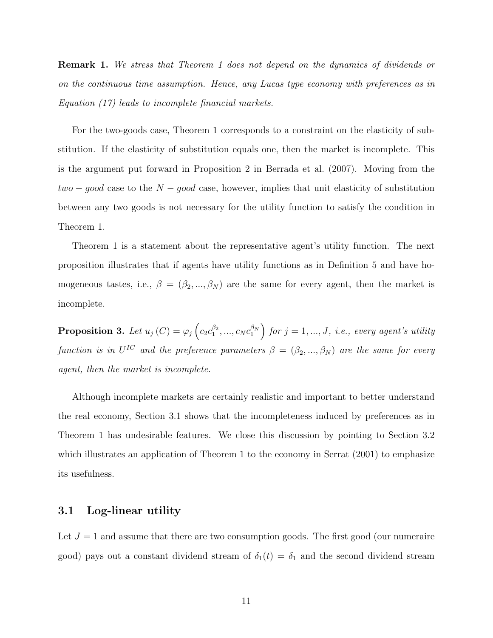Remark 1. We stress that Theorem 1 does not depend on the dynamics of dividends or on the continuous time assumption. Hence, any Lucas type economy with preferences as in Equation (17) leads to incomplete financial markets.

For the two-goods case, Theorem 1 corresponds to a constraint on the elasticity of substitution. If the elasticity of substitution equals one, then the market is incomplete. This is the argument put forward in Proposition 2 in Berrada et al. (2007). Moving from the  $two - good$  case to the  $N - good$  case, however, implies that unit elasticity of substitution between any two goods is not necessary for the utility function to satisfy the condition in Theorem 1.

Theorem 1 is a statement about the representative agent's utility function. The next proposition illustrates that if agents have utility functions as in Definition 5 and have homogeneous tastes, i.e.,  $\beta = (\beta_2, ..., \beta_N)$  are the same for every agent, then the market is incomplete.

**Proposition 3.** Let  $u_j(C) = \varphi_j\left(c_2c_1^{\beta_2},...,c_Nc_1^{\beta_N}\right)$  for  $j = 1,...,J$ , i.e., every agent's utility function is in  $U^{IC}$  and the preference parameters  $\beta = (\beta_2, ..., \beta_N)$  are the same for every agent, then the market is incomplete.

Although incomplete markets are certainly realistic and important to better understand the real economy, Section 3.1 shows that the incompleteness induced by preferences as in Theorem 1 has undesirable features. We close this discussion by pointing to Section 3.2 which illustrates an application of Theorem 1 to the economy in Serrat  $(2001)$  to emphasize its usefulness.

#### 3.1 Log-linear utility

Let  $J = 1$  and assume that there are two consumption goods. The first good (our numeraire good) pays out a constant dividend stream of  $\delta_1(t) = \delta_1$  and the second dividend stream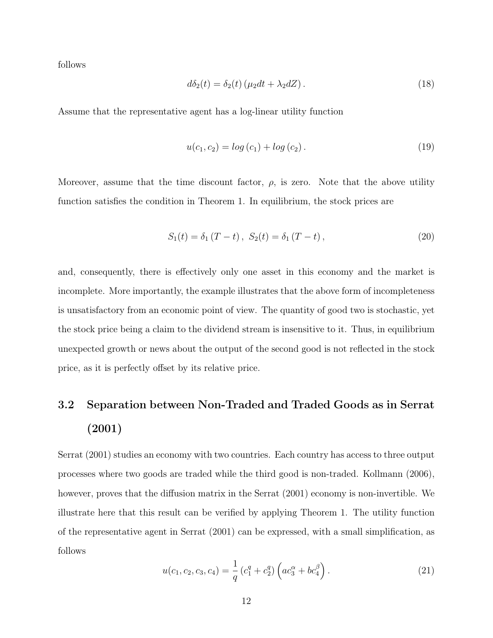follows

$$
d\delta_2(t) = \delta_2(t) \left(\mu_2 dt + \lambda_2 dZ\right). \tag{18}
$$

Assume that the representative agent has a log-linear utility function

$$
u(c_1, c_2) = \log(c_1) + \log(c_2). \tag{19}
$$

Moreover, assume that the time discount factor,  $\rho$ , is zero. Note that the above utility function satisfies the condition in Theorem 1. In equilibrium, the stock prices are

$$
S_1(t) = \delta_1 (T - t), \ S_2(t) = \delta_1 (T - t), \tag{20}
$$

and, consequently, there is effectively only one asset in this economy and the market is incomplete. More importantly, the example illustrates that the above form of incompleteness is unsatisfactory from an economic point of view. The quantity of good two is stochastic, yet the stock price being a claim to the dividend stream is insensitive to it. Thus, in equilibrium unexpected growth or news about the output of the second good is not reflected in the stock price, as it is perfectly offset by its relative price.

# 3.2 Separation between Non-Traded and Traded Goods as in Serrat (2001)

Serrat (2001) studies an economy with two countries. Each country has access to three output processes where two goods are traded while the third good is non-traded. Kollmann (2006), however, proves that the diffusion matrix in the Serrat (2001) economy is non-invertible. We illustrate here that this result can be verified by applying Theorem 1. The utility function of the representative agent in Serrat (2001) can be expressed, with a small simplification, as follows

$$
u(c_1, c_2, c_3, c_4) = \frac{1}{q} (c_1^q + c_2^q) \left( ac_3^\alpha + bc_4^\beta \right). \tag{21}
$$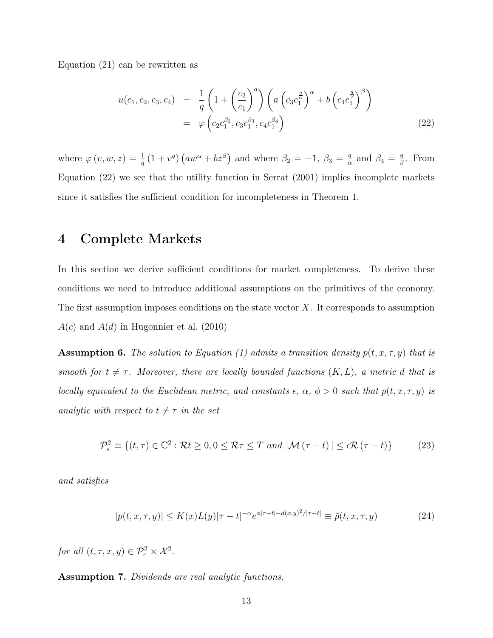Equation (21) can be rewritten as

$$
u(c_1, c_2, c_3, c_4) = \frac{1}{q} \left( 1 + \left( \frac{c_2}{c_1} \right)^q \right) \left( a \left( c_3 c_1^{\frac{q}{\alpha}} \right)^{\alpha} + b \left( c_4 c_1^{\frac{q}{\beta}} \right)^{\beta} \right)
$$
  
=  $\varphi \left( c_2 c_1^{\beta_2}, c_3 c_1^{\beta_3}, c_4 c_1^{\beta_4} \right)$  (22)

where  $\varphi(v, w, z) = \frac{1}{q} (1 + v^q) (aw^{\alpha} + bz^{\beta})$  and where  $\beta_2 = -1, \beta_3 = \frac{q}{\alpha}$  $\frac{q}{\alpha}$  and  $\beta_4 = \frac{q}{\beta}$  $\frac{q}{\beta}$ . From Equation (22) we see that the utility function in Serrat (2001) implies incomplete markets since it satisfies the sufficient condition for incompleteness in Theorem 1.

### 4 Complete Markets

In this section we derive sufficient conditions for market completeness. To derive these conditions we need to introduce additional assumptions on the primitives of the economy. The first assumption imposes conditions on the state vector  $X$ . It corresponds to assumption  $A(c)$  and  $A(d)$  in Hugonnier et al. (2010)

**Assumption 6.** The solution to Equation (1) admits a transition density  $p(t, x, \tau, y)$  that is smooth for  $t \neq \tau$ . Moreover, there are locally bounded functions  $(K, L)$ , a metric d that is locally equivalent to the Euclidean metric, and constants  $\epsilon$ ,  $\alpha$ ,  $\phi > 0$  such that  $p(t, x, \tau, y)$  is analytic with respect to  $t \neq \tau$  in the set

$$
\mathcal{P}_{\epsilon}^{2} \equiv \left\{ (t, \tau) \in \mathbb{C}^{2} : \mathcal{R}t \ge 0, 0 \le \mathcal{R}\tau \le T \text{ and } |\mathcal{M}(\tau - t)| \le \epsilon \mathcal{R}(\tau - t) \right\}
$$
(23)

and satisfies

$$
|p(t, x, \tau, y)| \le K(x)L(y)|\tau - t|^{-\alpha}e^{\phi|\tau - t| - d(x, y)^2/|\tau - t|} \equiv \bar{p}(t, x, \tau, y)
$$
\n(24)

for all  $(t, \tau, x, y) \in \mathcal{P}_{\epsilon}^2 \times \mathcal{X}^2$ .

Assumption 7. Dividends are real analytic functions.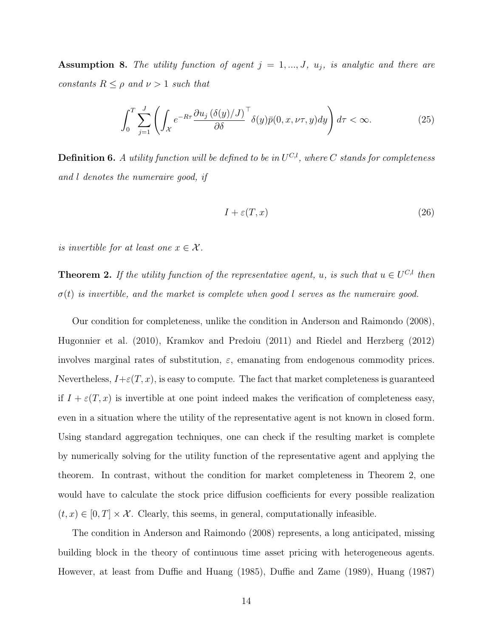**Assumption 8.** The utility function of agent  $j = 1, ..., J$ ,  $u_j$ , is analytic and there are constants  $R \leq \rho$  and  $\nu > 1$  such that

$$
\int_0^T \sum_{j=1}^J \left( \int_{\mathcal{X}} e^{-R\tau} \frac{\partial u_j \left( \delta(y)/J \right)}{\partial \delta}^{\top} \delta(y) \bar{p}(0, x, \nu \tau, y) dy \right) d\tau < \infty. \tag{25}
$$

**Definition 6.** A utility function will be defined to be in  $U^{C,l}$ , where C stands for completeness and l denotes the numeraire good, if

$$
I + \varepsilon(T, x) \tag{26}
$$

is invertible for at least one  $x \in \mathcal{X}$ .

**Theorem 2.** If the utility function of the representative agent, u, is such that  $u \in U^{C,l}$  then  $\sigma(t)$  is invertible, and the market is complete when good l serves as the numeraire good.

Our condition for completeness, unlike the condition in Anderson and Raimondo (2008), Hugonnier et al. (2010), Kramkov and Predoiu (2011) and Riedel and Herzberg (2012) involves marginal rates of substitution,  $\varepsilon$ , emanating from endogenous commodity prices. Nevertheless,  $I+\varepsilon(T,x)$ , is easy to compute. The fact that market completeness is guaranteed if  $I + \varepsilon(T, x)$  is invertible at one point indeed makes the verification of completeness easy, even in a situation where the utility of the representative agent is not known in closed form. Using standard aggregation techniques, one can check if the resulting market is complete by numerically solving for the utility function of the representative agent and applying the theorem. In contrast, without the condition for market completeness in Theorem 2, one would have to calculate the stock price diffusion coefficients for every possible realization  $(t, x) \in [0, T] \times \mathcal{X}$ . Clearly, this seems, in general, computationally infeasible.

The condition in Anderson and Raimondo (2008) represents, a long anticipated, missing building block in the theory of continuous time asset pricing with heterogeneous agents. However, at least from Duffie and Huang (1985), Duffie and Zame (1989), Huang (1987)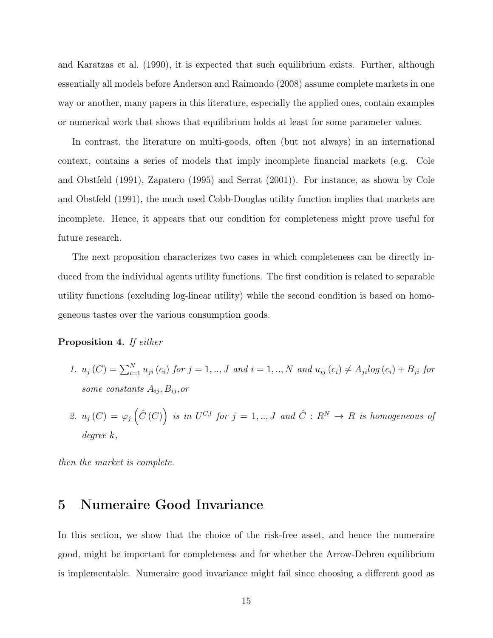and Karatzas et al. (1990), it is expected that such equilibrium exists. Further, although essentially all models before Anderson and Raimondo (2008) assume complete markets in one way or another, many papers in this literature, especially the applied ones, contain examples or numerical work that shows that equilibrium holds at least for some parameter values.

In contrast, the literature on multi-goods, often (but not always) in an international context, contains a series of models that imply incomplete financial markets (e.g. Cole and Obstfeld (1991), Zapatero (1995) and Serrat (2001)). For instance, as shown by Cole and Obstfeld (1991), the much used Cobb-Douglas utility function implies that markets are incomplete. Hence, it appears that our condition for completeness might prove useful for future research.

The next proposition characterizes two cases in which completeness can be directly induced from the individual agents utility functions. The first condition is related to separable utility functions (excluding log-linear utility) while the second condition is based on homogeneous tastes over the various consumption goods.

#### Proposition 4. If either

- 1.  $u_j(C) = \sum_{i=1}^N u_{ji}(c_i)$  for  $j = 1, ..., J$  and  $i = 1, ..., N$  and  $u_{ij}(c_i) \neq A_{ji} log(c_i) + B_{ji}$  for some constants  $A_{ij}, B_{ij}, or$
- 2.  $u_j(C) = \varphi_j(\hat{C}(C))$  is in  $U^{C,l}$  for  $j = 1, ..., J$  and  $\hat{C}: R^N \to R$  is homogeneous of degree k,

then the market is complete.

### 5 Numeraire Good Invariance

In this section, we show that the choice of the risk-free asset, and hence the numeraire good, might be important for completeness and for whether the Arrow-Debreu equilibrium is implementable. Numeraire good invariance might fail since choosing a different good as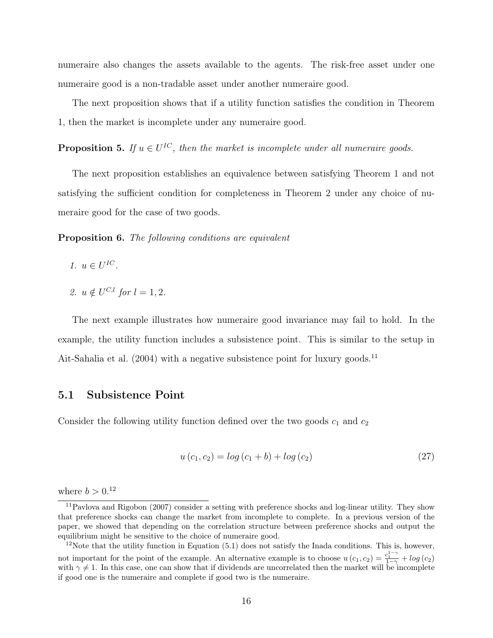numeraire also changes the assets available to the agents. The risk-free asset under one numeraire good is a non-tradable asset under another numeraire good.

The next proposition shows that if a utility function satisfies the condition in Theorem 1, then the market is incomplete under any numeraire good.

**Proposition 5.** If  $u \in U^{IC}$ , then the market is incomplete under all numeraire goods.

The next proposition establishes an equivalence between satisfying Theorem 1 and not satisfying the sufficient condition for completeness in Theorem 2 under any choice of numeraire good for the case of two goods.

Proposition 6. The following conditions are equivalent

- 1.  $u \in U^{IC}$ .
- 2.  $u \notin U^{C,l}$  for  $l = 1, 2$ .

The next example illustrates how numeraire good invariance may fail to hold. In the example, the utility function includes a subsistence point. This is similar to the setup in Ait-Sahalia et al. (2004) with a negative subsistence point for luxury goods.<sup>11</sup>

#### 5.1 Subsistence Point

Consider the following utility function defined over the two goods  $c_1$  and  $c_2$ 

$$
u(c_1, c_2) = \log(c_1 + b) + \log(c_2)
$$
\n(27)

where  $b > 0.12$ 

<sup>11</sup>Pavlova and Rigobon (2007) consider a setting with preference shocks and log-linear utility. They show that preference shocks can change the market from incomplete to complete. In a previous version of the paper, we showed that depending on the correlation structure between preference shocks and output the equilibrium might be sensitive to the choice of numeraire good.

 $12$ Note that the utility function in Equation (5.1) does not satisfy the Inada conditions. This is, however, not important for the point of the example. An alternative example is to choose  $u(c_1, c_2) = \frac{c_1^{1-\gamma}}{1-\gamma} + \log(c_2)$ with  $\gamma \neq 1$ . In this case, one can show that if dividends are uncorrelated then the market will be incomplete if good one is the numeraire and complete if good two is the numeraire.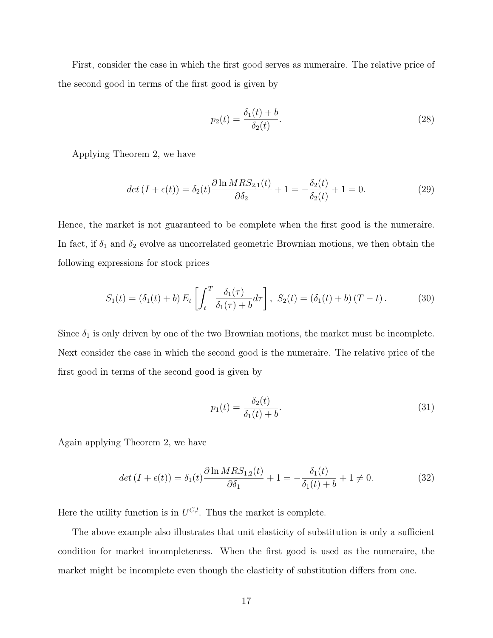First, consider the case in which the first good serves as numeraire. The relative price of the second good in terms of the first good is given by

$$
p_2(t) = \frac{\delta_1(t) + b}{\delta_2(t)}.
$$
\n(28)

Applying Theorem 2, we have

$$
det (I + \epsilon(t)) = \delta_2(t) \frac{\partial \ln MRS_{2,1}(t)}{\partial \delta_2} + 1 = -\frac{\delta_2(t)}{\delta_2(t)} + 1 = 0.
$$
 (29)

Hence, the market is not guaranteed to be complete when the first good is the numeraire. In fact, if  $\delta_1$  and  $\delta_2$  evolve as uncorrelated geometric Brownian motions, we then obtain the following expressions for stock prices

$$
S_1(t) = (\delta_1(t) + b) E_t \left[ \int_t^T \frac{\delta_1(\tau)}{\delta_1(\tau) + b} d\tau \right], \ S_2(t) = (\delta_1(t) + b) (T - t). \tag{30}
$$

Since  $\delta_1$  is only driven by one of the two Brownian motions, the market must be incomplete. Next consider the case in which the second good is the numeraire. The relative price of the first good in terms of the second good is given by

$$
p_1(t) = \frac{\delta_2(t)}{\delta_1(t) + b}.
$$
\n(31)

Again applying Theorem 2, we have

$$
det (I + \epsilon(t)) = \delta_1(t) \frac{\partial \ln MRS_{1,2}(t)}{\partial \delta_1} + 1 = -\frac{\delta_1(t)}{\delta_1(t) + b} + 1 \neq 0.
$$
 (32)

Here the utility function is in  $U^{C,l}$ . Thus the market is complete.

The above example also illustrates that unit elasticity of substitution is only a sufficient condition for market incompleteness. When the first good is used as the numeraire, the market might be incomplete even though the elasticity of substitution differs from one.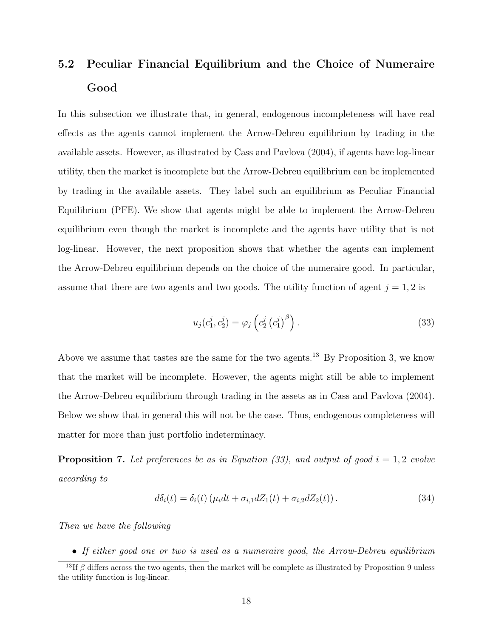# 5.2 Peculiar Financial Equilibrium and the Choice of Numeraire Good

In this subsection we illustrate that, in general, endogenous incompleteness will have real effects as the agents cannot implement the Arrow-Debreu equilibrium by trading in the available assets. However, as illustrated by Cass and Pavlova (2004), if agents have log-linear utility, then the market is incomplete but the Arrow-Debreu equilibrium can be implemented by trading in the available assets. They label such an equilibrium as Peculiar Financial Equilibrium (PFE). We show that agents might be able to implement the Arrow-Debreu equilibrium even though the market is incomplete and the agents have utility that is not log-linear. However, the next proposition shows that whether the agents can implement the Arrow-Debreu equilibrium depends on the choice of the numeraire good. In particular, assume that there are two agents and two goods. The utility function of agent  $j = 1, 2$  is

$$
u_j(c_1^j, c_2^j) = \varphi_j\left(c_2^j\left(c_1^j\right)^{\beta}\right). \tag{33}
$$

Above we assume that tastes are the same for the two agents.<sup>13</sup> By Proposition 3, we know that the market will be incomplete. However, the agents might still be able to implement the Arrow-Debreu equilibrium through trading in the assets as in Cass and Pavlova (2004). Below we show that in general this will not be the case. Thus, endogenous completeness will matter for more than just portfolio indeterminacy.

**Proposition 7.** Let preferences be as in Equation (33), and output of good  $i = 1, 2$  evolve according to

$$
d\delta_i(t) = \delta_i(t) \left( \mu_i dt + \sigma_{i,1} dZ_1(t) + \sigma_{i,2} dZ_2(t) \right). \tag{34}
$$

Then we have the following

• If either good one or two is used as a numeraire good, the Arrow-Debreu equilibrium

<sup>&</sup>lt;sup>13</sup>If  $\beta$  differs across the two agents, then the market will be complete as illustrated by Proposition 9 unless the utility function is log-linear.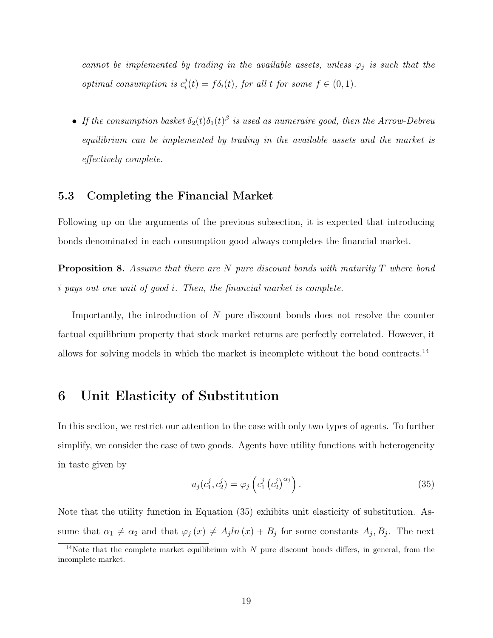cannot be implemented by trading in the available assets, unless  $\varphi_j$  is such that the optimal consumption is  $c_i^j$  $i(t) = f\delta_i(t)$ , for all t for some  $f \in (0,1)$ .

• If the consumption basket  $\delta_2(t)\delta_1(t)^\beta$  is used as numeraire good, then the Arrow-Debreu equilibrium can be implemented by trading in the available assets and the market is effectively complete.

#### 5.3 Completing the Financial Market

Following up on the arguments of the previous subsection, it is expected that introducing bonds denominated in each consumption good always completes the financial market.

**Proposition 8.** Assume that there are N pure discount bonds with maturity  $T$  where bond i pays out one unit of good i. Then, the financial market is complete.

Importantly, the introduction of N pure discount bonds does not resolve the counter factual equilibrium property that stock market returns are perfectly correlated. However, it allows for solving models in which the market is incomplete without the bond contracts.<sup>14</sup>

## 6 Unit Elasticity of Substitution

In this section, we restrict our attention to the case with only two types of agents. To further simplify, we consider the case of two goods. Agents have utility functions with heterogeneity in taste given by

$$
u_j(c_1^j, c_2^j) = \varphi_j\left(c_1^j\left(c_2^j\right)^{\alpha_j}\right). \tag{35}
$$

Note that the utility function in Equation (35) exhibits unit elasticity of substitution. Assume that  $\alpha_1 \neq \alpha_2$  and that  $\varphi_j(x) \neq A_j ln(x) + B_j$  for some constants  $A_j, B_j$ . The next

<sup>&</sup>lt;sup>14</sup>Note that the complete market equilibrium with  $N$  pure discount bonds differs, in general, from the incomplete market.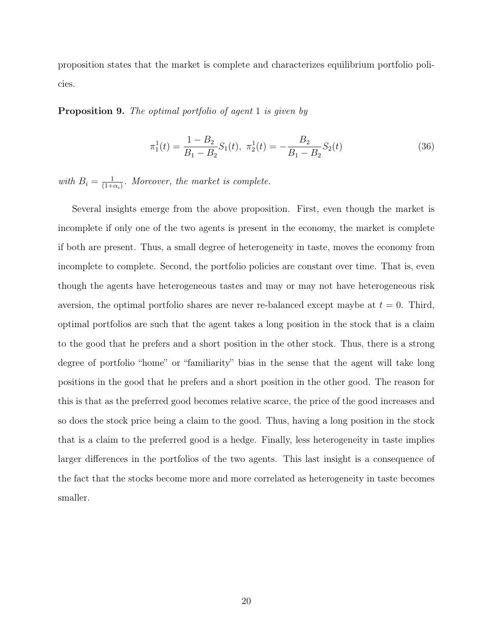proposition states that the market is complete and characterizes equilibrium portfolio policies.

#### **Proposition 9.** The optimal portfolio of agent 1 is given by

$$
\pi_1^1(t) = \frac{1 - B_2}{B_1 - B_2} S_1(t), \ \pi_2^1(t) = -\frac{B_2}{B_1 - B_2} S_2(t) \tag{36}
$$

with  $B_i = \frac{1}{(1+i)}$  $\frac{1}{(1+\alpha_i)}$ . Moreover, the market is complete.

Several insights emerge from the above proposition. First, even though the market is incomplete if only one of the two agents is present in the economy, the market is complete if both are present. Thus, a small degree of heterogeneity in taste, moves the economy from incomplete to complete. Second, the portfolio policies are constant over time. That is, even though the agents have heterogeneous tastes and may or may not have heterogeneous risk aversion, the optimal portfolio shares are never re-balanced except maybe at  $t = 0$ . Third, optimal portfolios are such that the agent takes a long position in the stock that is a claim to the good that he prefers and a short position in the other stock. Thus, there is a strong degree of portfolio "home" or "familiarity" bias in the sense that the agent will take long positions in the good that he prefers and a short position in the other good. The reason for this is that as the preferred good becomes relative scarce, the price of the good increases and so does the stock price being a claim to the good. Thus, having a long position in the stock that is a claim to the preferred good is a hedge. Finally, less heterogeneity in taste implies larger differences in the portfolios of the two agents. This last insight is a consequence of the fact that the stocks become more and more correlated as heterogeneity in taste becomes smaller.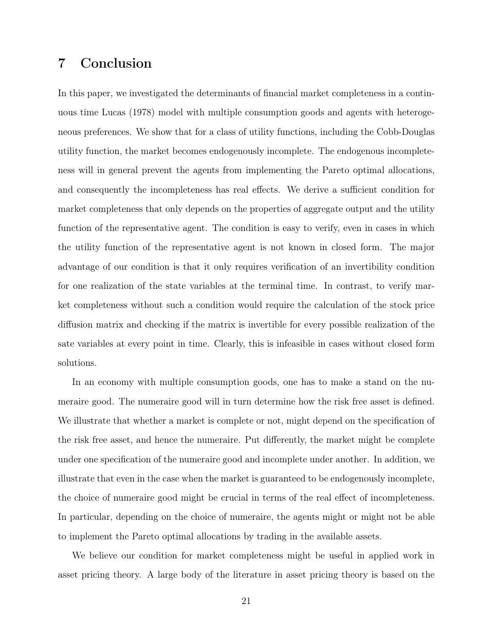## 7 Conclusion

In this paper, we investigated the determinants of financial market completeness in a continuous time Lucas (1978) model with multiple consumption goods and agents with heterogeneous preferences. We show that for a class of utility functions, including the Cobb-Douglas utility function, the market becomes endogenously incomplete. The endogenous incompleteness will in general prevent the agents from implementing the Pareto optimal allocations, and consequently the incompleteness has real effects. We derive a sufficient condition for market completeness that only depends on the properties of aggregate output and the utility function of the representative agent. The condition is easy to verify, even in cases in which the utility function of the representative agent is not known in closed form. The major advantage of our condition is that it only requires verification of an invertibility condition for one realization of the state variables at the terminal time. In contrast, to verify market completeness without such a condition would require the calculation of the stock price diffusion matrix and checking if the matrix is invertible for every possible realization of the sate variables at every point in time. Clearly, this is infeasible in cases without closed form solutions.

In an economy with multiple consumption goods, one has to make a stand on the numeraire good. The numeraire good will in turn determine how the risk free asset is defined. We illustrate that whether a market is complete or not, might depend on the specification of the risk free asset, and hence the numeraire. Put differently, the market might be complete under one specification of the numeraire good and incomplete under another. In addition, we illustrate that even in the case when the market is guaranteed to be endogenously incomplete, the choice of numeraire good might be crucial in terms of the real effect of incompleteness. In particular, depending on the choice of numeraire, the agents might or might not be able to implement the Pareto optimal allocations by trading in the available assets.

We believe our condition for market completeness might be useful in applied work in asset pricing theory. A large body of the literature in asset pricing theory is based on the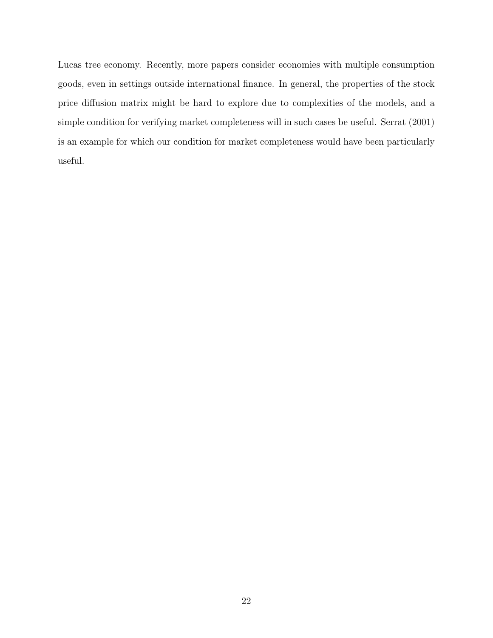Lucas tree economy. Recently, more papers consider economies with multiple consumption goods, even in settings outside international finance. In general, the properties of the stock price diffusion matrix might be hard to explore due to complexities of the models, and a simple condition for verifying market completeness will in such cases be useful. Serrat (2001) is an example for which our condition for market completeness would have been particularly useful.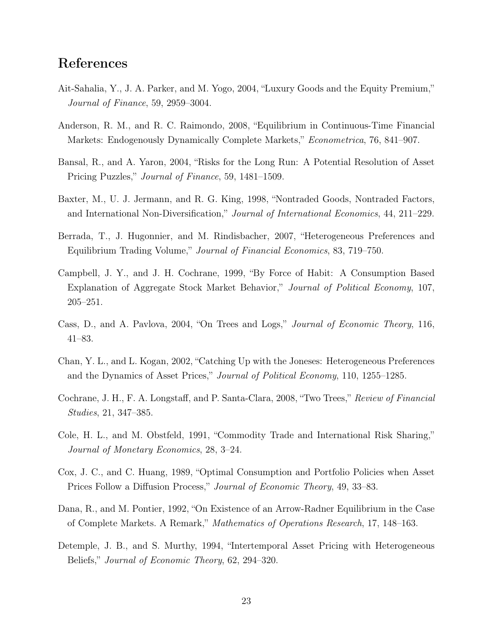## References

- Ait-Sahalia, Y., J. A. Parker, and M. Yogo, 2004, "Luxury Goods and the Equity Premium," Journal of Finance, 59, 2959–3004.
- Anderson, R. M., and R. C. Raimondo, 2008, "Equilibrium in Continuous-Time Financial Markets: Endogenously Dynamically Complete Markets," Econometrica, 76, 841–907.
- Bansal, R., and A. Yaron, 2004, "Risks for the Long Run: A Potential Resolution of Asset Pricing Puzzles," Journal of Finance, 59, 1481–1509.
- Baxter, M., U. J. Jermann, and R. G. King, 1998, "Nontraded Goods, Nontraded Factors, and International Non-Diversification," Journal of International Economics, 44, 211–229.
- Berrada, T., J. Hugonnier, and M. Rindisbacher, 2007, "Heterogeneous Preferences and Equilibrium Trading Volume," Journal of Financial Economics, 83, 719–750.
- Campbell, J. Y., and J. H. Cochrane, 1999, "By Force of Habit: A Consumption Based Explanation of Aggregate Stock Market Behavior," Journal of Political Economy, 107, 205–251.
- Cass, D., and A. Pavlova, 2004, "On Trees and Logs," Journal of Economic Theory, 116, 41–83.
- Chan, Y. L., and L. Kogan, 2002, "Catching Up with the Joneses: Heterogeneous Preferences and the Dynamics of Asset Prices," Journal of Political Economy, 110, 1255–1285.
- Cochrane, J. H., F. A. Longstaff, and P. Santa-Clara, 2008, "Two Trees," Review of Financial Studies, 21, 347–385.
- Cole, H. L., and M. Obstfeld, 1991, "Commodity Trade and International Risk Sharing," Journal of Monetary Economics, 28, 3–24.
- Cox, J. C., and C. Huang, 1989, "Optimal Consumption and Portfolio Policies when Asset Prices Follow a Diffusion Process," Journal of Economic Theory, 49, 33–83.
- Dana, R., and M. Pontier, 1992, "On Existence of an Arrow-Radner Equilibrium in the Case of Complete Markets. A Remark," Mathematics of Operations Research, 17, 148–163.
- Detemple, J. B., and S. Murthy, 1994, "Intertemporal Asset Pricing with Heterogeneous Beliefs," Journal of Economic Theory, 62, 294–320.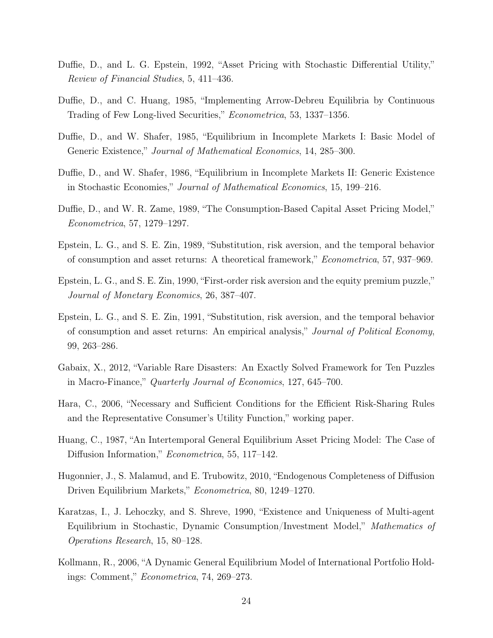- Duffie, D., and L. G. Epstein, 1992, "Asset Pricing with Stochastic Differential Utility," Review of Financial Studies, 5, 411–436.
- Duffie, D., and C. Huang, 1985, "Implementing Arrow-Debreu Equilibria by Continuous Trading of Few Long-lived Securities," Econometrica, 53, 1337–1356.
- Duffie, D., and W. Shafer, 1985, "Equilibrium in Incomplete Markets I: Basic Model of Generic Existence," Journal of Mathematical Economics, 14, 285–300.
- Duffie, D., and W. Shafer, 1986, "Equilibrium in Incomplete Markets II: Generic Existence in Stochastic Economies," Journal of Mathematical Economics, 15, 199–216.
- Duffie, D., and W. R. Zame, 1989, "The Consumption-Based Capital Asset Pricing Model," Econometrica, 57, 1279–1297.
- Epstein, L. G., and S. E. Zin, 1989, "Substitution, risk aversion, and the temporal behavior of consumption and asset returns: A theoretical framework," Econometrica, 57, 937–969.
- Epstein, L. G., and S. E. Zin, 1990, "First-order risk aversion and the equity premium puzzle," Journal of Monetary Economics, 26, 387–407.
- Epstein, L. G., and S. E. Zin, 1991, "Substitution, risk aversion, and the temporal behavior of consumption and asset returns: An empirical analysis," Journal of Political Economy, 99, 263–286.
- Gabaix, X., 2012, "Variable Rare Disasters: An Exactly Solved Framework for Ten Puzzles in Macro-Finance," Quarterly Journal of Economics, 127, 645–700.
- Hara, C., 2006, "Necessary and Sufficient Conditions for the Efficient Risk-Sharing Rules and the Representative Consumer's Utility Function," working paper.
- Huang, C., 1987, "An Intertemporal General Equilibrium Asset Pricing Model: The Case of Diffusion Information," Econometrica, 55, 117–142.
- Hugonnier, J., S. Malamud, and E. Trubowitz, 2010, "Endogenous Completeness of Diffusion Driven Equilibrium Markets," Econometrica, 80, 1249–1270.
- Karatzas, I., J. Lehoczky, and S. Shreve, 1990, "Existence and Uniqueness of Multi-agent Equilibrium in Stochastic, Dynamic Consumption/Investment Model," Mathematics of Operations Research, 15, 80–128.
- Kollmann, R., 2006, "A Dynamic General Equilibrium Model of International Portfolio Holdings: Comment," Econometrica, 74, 269–273.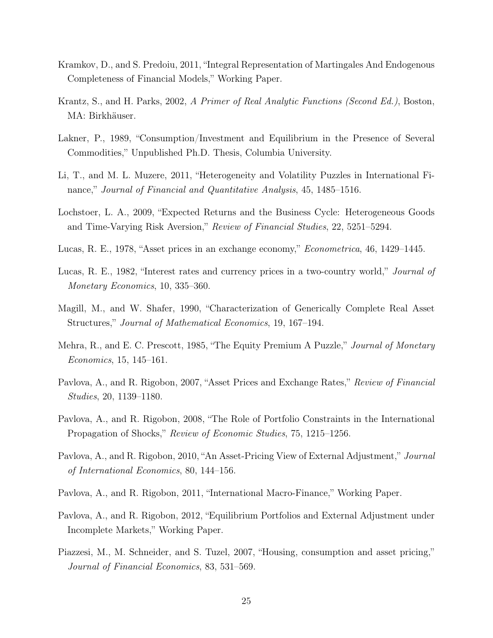- Kramkov, D., and S. Predoiu, 2011, "Integral Representation of Martingales And Endogenous Completeness of Financial Models," Working Paper.
- Krantz, S., and H. Parks, 2002, A Primer of Real Analytic Functions (Second Ed.), Boston, MA: Birkhäuser.
- Lakner, P., 1989, "Consumption/Investment and Equilibrium in the Presence of Several Commodities," Unpublished Ph.D. Thesis, Columbia University.
- Li, T., and M. L. Muzere, 2011, "Heterogeneity and Volatility Puzzles in International Finance," Journal of Financial and Quantitative Analysis, 45, 1485–1516.
- Lochstoer, L. A., 2009, "Expected Returns and the Business Cycle: Heterogeneous Goods and Time-Varying Risk Aversion," Review of Financial Studies, 22, 5251–5294.
- Lucas, R. E., 1978, "Asset prices in an exchange economy," Econometrica, 46, 1429–1445.
- Lucas, R. E., 1982, "Interest rates and currency prices in a two-country world," Journal of Monetary Economics, 10, 335–360.
- Magill, M., and W. Shafer, 1990, "Characterization of Generically Complete Real Asset Structures," Journal of Mathematical Economics, 19, 167–194.
- Mehra, R., and E. C. Prescott, 1985, "The Equity Premium A Puzzle," *Journal of Monetary* Economics, 15, 145–161.
- Pavlova, A., and R. Rigobon, 2007, "Asset Prices and Exchange Rates," Review of Financial Studies, 20, 1139–1180.
- Pavlova, A., and R. Rigobon, 2008, "The Role of Portfolio Constraints in the International Propagation of Shocks," Review of Economic Studies, 75, 1215–1256.
- Pavlova, A., and R. Rigobon, 2010, "An Asset-Pricing View of External Adjustment," Journal of International Economics, 80, 144–156.
- Pavlova, A., and R. Rigobon, 2011, "International Macro-Finance," Working Paper.
- Pavlova, A., and R. Rigobon, 2012, "Equilibrium Portfolios and External Adjustment under Incomplete Markets," Working Paper.
- Piazzesi, M., M. Schneider, and S. Tuzel, 2007, "Housing, consumption and asset pricing," Journal of Financial Economics, 83, 531–569.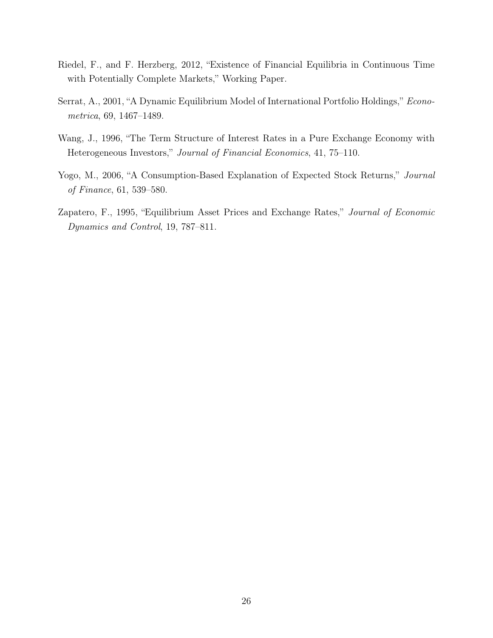- Riedel, F., and F. Herzberg, 2012, "Existence of Financial Equilibria in Continuous Time with Potentially Complete Markets," Working Paper.
- Serrat, A., 2001, "A Dynamic Equilibrium Model of International Portfolio Holdings," Econometrica, 69, 1467–1489.
- Wang, J., 1996, "The Term Structure of Interest Rates in a Pure Exchange Economy with Heterogeneous Investors," Journal of Financial Economics, 41, 75–110.
- Yogo, M., 2006, "A Consumption-Based Explanation of Expected Stock Returns," Journal of Finance, 61, 539–580.
- Zapatero, F., 1995, "Equilibrium Asset Prices and Exchange Rates," Journal of Economic Dynamics and Control, 19, 787–811.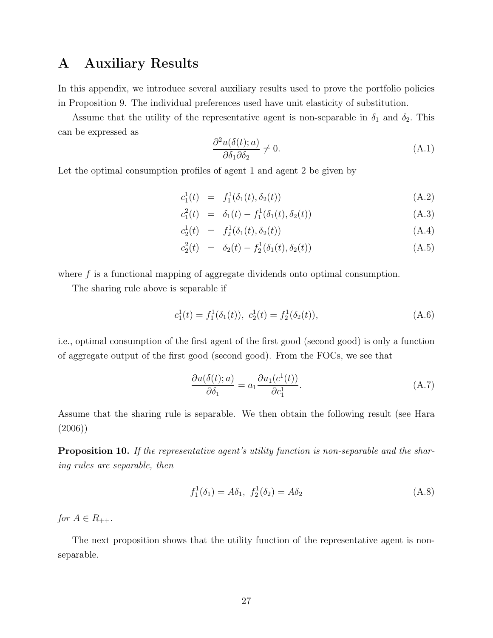# A Auxiliary Results

In this appendix, we introduce several auxiliary results used to prove the portfolio policies in Proposition 9. The individual preferences used have unit elasticity of substitution.

Assume that the utility of the representative agent is non-separable in  $\delta_1$  and  $\delta_2$ . This can be expressed as

$$
\frac{\partial^2 u(\delta(t);a)}{\partial \delta_1 \partial \delta_2} \neq 0. \tag{A.1}
$$

Let the optimal consumption profiles of agent 1 and agent 2 be given by

$$
c_1^1(t) = f_1^1(\delta_1(t), \delta_2(t)) \tag{A.2}
$$

$$
c_1^2(t) = \delta_1(t) - f_1^1(\delta_1(t), \delta_2(t)) \tag{A.3}
$$

$$
c_2^1(t) = f_2^1(\delta_1(t), \delta_2(t)) \tag{A.4}
$$

$$
c_2^2(t) = \delta_2(t) - f_2^1(\delta_1(t), \delta_2(t)) \tag{A.5}
$$

where  $f$  is a functional mapping of aggregate dividends onto optimal consumption.

The sharing rule above is separable if

$$
c_1^1(t) = f_1^1(\delta_1(t)), \ c_2^1(t) = f_2^1(\delta_2(t)), \tag{A.6}
$$

i.e., optimal consumption of the first agent of the first good (second good) is only a function of aggregate output of the first good (second good). From the FOCs, we see that

$$
\frac{\partial u(\delta(t);a)}{\partial \delta_1} = a_1 \frac{\partial u_1(c^1(t))}{\partial c_1^1}.
$$
\n(A.7)

Assume that the sharing rule is separable. We then obtain the following result (see Hara (2006))

**Proposition 10.** If the representative agent's utility function is non-separable and the sharing rules are separable, then

$$
f_1^1(\delta_1) = A\delta_1, \ f_2^1(\delta_2) = A\delta_2 \tag{A.8}
$$

for  $A \in R_{++}$ .

The next proposition shows that the utility function of the representative agent is nonseparable.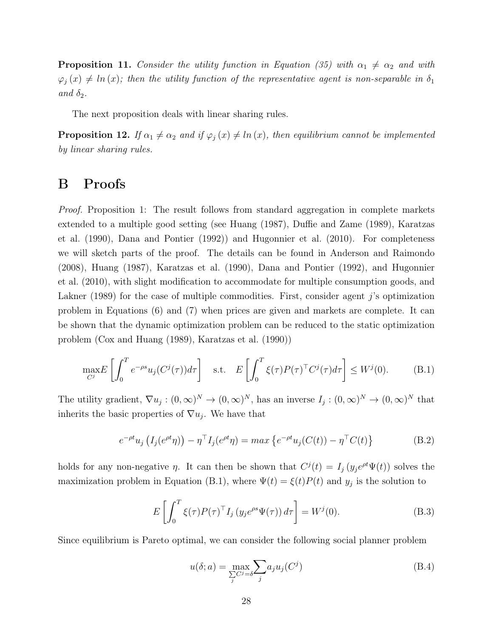**Proposition 11.** Consider the utility function in Equation (35) with  $\alpha_1 \neq \alpha_2$  and with  $\varphi_j(x) \neq \ln(x)$ ; then the utility function of the representative agent is non-separable in  $\delta_1$ and  $\delta_2$ .

The next proposition deals with linear sharing rules.

**Proposition 12.** If  $\alpha_1 \neq \alpha_2$  and if  $\varphi_j(x) \neq \ln(x)$ , then equilibrium cannot be implemented by linear sharing rules.

## B Proofs

*Proof.* Proposition 1: The result follows from standard aggregation in complete markets extended to a multiple good setting (see Huang (1987), Duffie and Zame (1989), Karatzas et al. (1990), Dana and Pontier (1992)) and Hugonnier et al. (2010). For completeness we will sketch parts of the proof. The details can be found in Anderson and Raimondo (2008), Huang (1987), Karatzas et al. (1990), Dana and Pontier (1992), and Hugonnier et al. (2010), with slight modification to accommodate for multiple consumption goods, and Lakner (1989) for the case of multiple commodities. First, consider agent  $j$ 's optimization problem in Equations (6) and (7) when prices are given and markets are complete. It can be shown that the dynamic optimization problem can be reduced to the static optimization problem (Cox and Huang (1989), Karatzas et al. (1990))

$$
\max_{C^j} E\left[\int_0^T e^{-\rho s} u_j(C^j(\tau)) d\tau\right] \quad \text{s.t.} \quad E\left[\int_0^T \xi(\tau) P(\tau)^\top C^j(\tau) d\tau\right] \le W^j(0). \tag{B.1}
$$

The utility gradient,  $\nabla u_j : (0, \infty)^N \to (0, \infty)^N$ , has an inverse  $I_j : (0, \infty)^N \to (0, \infty)^N$  that inherits the basic properties of  $\nabla u_j$ . We have that

$$
e^{-\rho t}u_j\left(I_j(e^{\rho t}\eta)\right) - \eta^{\top}I_j(e^{\rho t}\eta) = \max\left\{e^{-\rho t}u_j(C(t)) - \eta^{\top}C(t)\right\}
$$
(B.2)

holds for any non-negative  $\eta$ . It can then be shown that  $C^{j}(t) = I_{j}(y_{j}e^{\rho t}\Psi(t))$  solves the maximization problem in Equation (B.1), where  $\Psi(t) = \xi(t)P(t)$  and  $y_j$  is the solution to

$$
E\left[\int_0^T \xi(\tau) P(\tau)^\top I_j\left(y_j e^{\rho s} \Psi(\tau)\right) d\tau\right] = W^j(0). \tag{B.3}
$$

Since equilibrium is Pareto optimal, we can consider the following social planner problem

$$
u(\delta; a) = \max_{\sum_{j} C^j = \delta} \sum_{j} a_j u_j(C^j)
$$
(B.4)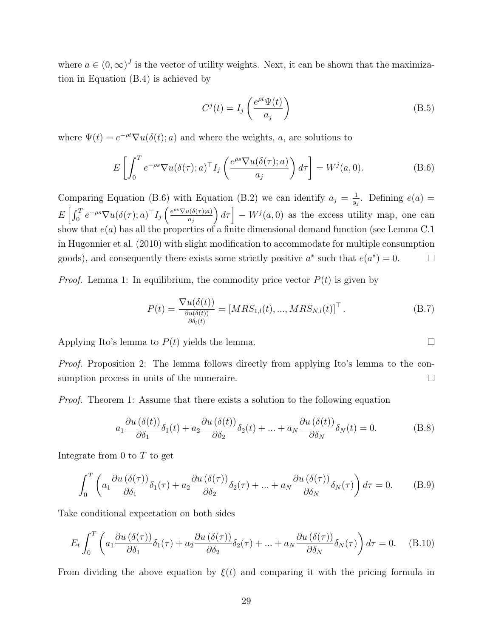where  $a \in (0,\infty)^J$  is the vector of utility weights. Next, it can be shown that the maximization in Equation (B.4) is achieved by

$$
C^{j}(t) = I_{j}\left(\frac{e^{\rho t}\Psi(t)}{a_{j}}\right)
$$
 (B.5)

where  $\Psi(t) = e^{-\rho t} \nabla u(\delta(t); a)$  and where the weights, a, are solutions to

$$
E\left[\int_0^T e^{-\rho s} \nabla u(\delta(\tau); a)^\top I_j\left(\frac{e^{\rho s} \nabla u(\delta(\tau); a)}{a_j}\right) d\tau\right] = W^j(a, 0). \tag{B.6}
$$

Comparing Equation (B.6) with Equation (B.2) we can identify  $a_j = \frac{1}{w}$  $\frac{1}{y_j}$ . Defining  $e(a)$  =  $E\left[\int_0^T e^{-\rho s} \nabla u(\delta(\tau);a)^\top I_j\left(\frac{e^{\rho s} \nabla u(\delta(\tau);a)}{a_j}\right)\right]$  $\left[ \int d\tau \right] - W^{j}(a,0)$  as the excess utility map, one can  $a_j$ show that  $e(a)$  has all the properties of a finite dimensional demand function (see Lemma C.1) in Hugonnier et al. (2010) with slight modification to accommodate for multiple consumption goods), and consequently there exists some strictly positive  $a^*$  such that  $e(a^*) = 0$ .  $\Box$ 

*Proof.* Lemma 1: In equilibrium, the commodity price vector  $P(t)$  is given by

$$
P(t) = \frac{\nabla u(\delta(t))}{\frac{\partial u(\delta(t))}{\partial \delta_l(t)}} = [MRS_{1,l}(t), ..., MRS_{N,l}(t)]^\top.
$$
 (B.7)

Applying Ito's lemma to  $P(t)$  yields the lemma.

Proof. Proposition 2: The lemma follows directly from applying Ito's lemma to the consumption process in units of the numeraire.  $\Box$ 

Proof. Theorem 1: Assume that there exists a solution to the following equation

$$
a_1 \frac{\partial u(\delta(t))}{\partial \delta_1} \delta_1(t) + a_2 \frac{\partial u(\delta(t))}{\partial \delta_2} \delta_2(t) + \dots + a_N \frac{\partial u(\delta(t))}{\partial \delta_N} \delta_N(t) = 0.
$$
 (B.8)

Integrate from  $0$  to  $T$  to get

$$
\int_0^T \left( a_1 \frac{\partial u \left( \delta(\tau) \right)}{\partial \delta_1} \delta_1(\tau) + a_2 \frac{\partial u \left( \delta(\tau) \right)}{\partial \delta_2} \delta_2(\tau) + \dots + a_N \frac{\partial u \left( \delta(\tau) \right)}{\partial \delta_N} \delta_N(\tau) \right) d\tau = 0. \tag{B.9}
$$

Take conditional expectation on both sides

$$
E_t \int_0^T \left( a_1 \frac{\partial u(\delta(\tau))}{\partial \delta_1} \delta_1(\tau) + a_2 \frac{\partial u(\delta(\tau))}{\partial \delta_2} \delta_2(\tau) + \dots + a_N \frac{\partial u(\delta(\tau))}{\partial \delta_N} \delta_N(\tau) \right) d\tau = 0. \quad (B.10)
$$

From dividing the above equation by  $\xi(t)$  and comparing it with the pricing formula in

 $\Box$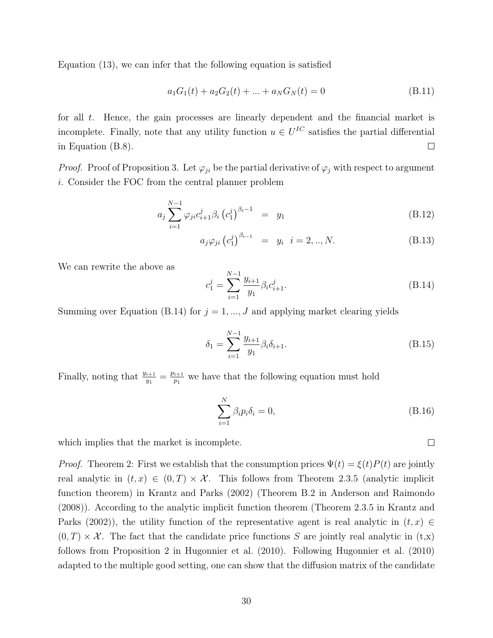Equation (13), we can infer that the following equation is satisfied

$$
a_1G_1(t) + a_2G_2(t) + \dots + a_NG_N(t) = 0
$$
\n(B.11)

for all  $t$ . Hence, the gain processes are linearly dependent and the financial market is incomplete. Finally, note that any utility function  $u \in U^{IC}$  satisfies the partial differential in Equation (B.8).  $\Box$ 

*Proof.* Proof of Proposition 3. Let  $\varphi_{ji}$  be the partial derivative of  $\varphi_j$  with respect to argument i. Consider the FOC from the central planner problem

$$
a_j \sum_{i=1}^{N-1} \varphi_{ji} c_{i+1}^j \beta_i \left( c_1^j \right)^{\beta_i - 1} = y_1 \tag{B.12}
$$

$$
a_j \varphi_{ji} (c_1^j)^{\beta_{i-1}} = y_i \quad i = 2,..,N. \tag{B.13}
$$

We can rewrite the above as

$$
c_1^j = \sum_{i=1}^{N-1} \frac{y_{i+1}}{y_1} \beta_i c_{i+1}^j.
$$
 (B.14)

Summing over Equation (B.14) for  $j = 1, ..., J$  and applying market clearing yields

$$
\delta_1 = \sum_{i=1}^{N-1} \frac{y_{i+1}}{y_1} \beta_i \delta_{i+1}.
$$
\n(B.15)

Finally, noting that  $\frac{y_{i+1}}{y_1} = \frac{p_{i+1}}{p_1}$  $\frac{i+1}{p_1}$  we have that the following equation must hold

$$
\sum_{i=1}^{N} \beta_i p_i \delta_i = 0,
$$
\n(B.16)

which implies that the market is incomplete.

*Proof.* Theorem 2: First we establish that the consumption prices  $\Psi(t) = \xi(t)P(t)$  are jointly real analytic in  $(t, x) \in (0, T) \times \mathcal{X}$ . This follows from Theorem 2.3.5 (analytic implicit function theorem) in Krantz and Parks (2002) (Theorem B.2 in Anderson and Raimondo (2008)). According to the analytic implicit function theorem (Theorem 2.3.5 in Krantz and Parks (2002)), the utility function of the representative agent is real analytic in  $(t, x) \in$  $(0, T) \times \mathcal{X}$ . The fact that the candidate price functions S are jointly real analytic in  $(t, x)$ follows from Proposition 2 in Hugonnier et al. (2010). Following Hugonnier et al. (2010) adapted to the multiple good setting, one can show that the diffusion matrix of the candidate

 $\Box$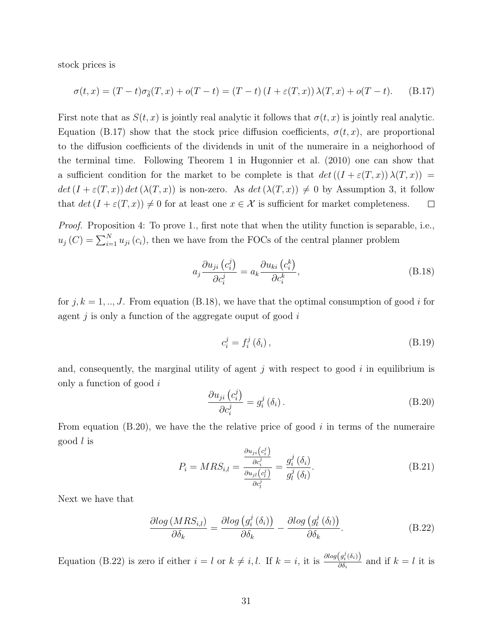stock prices is

$$
\sigma(t,x) = (T-t)\sigma_{\tilde{\delta}}(T,x) + o(T-t) = (T-t)\left(I + \varepsilon(T,x)\right)\lambda(T,x) + o(T-t). \tag{B.17}
$$

First note that as  $S(t, x)$  is jointly real analytic it follows that  $\sigma(t, x)$  is jointly real analytic. Equation (B.17) show that the stock price diffusion coefficients,  $\sigma(t, x)$ , are proportional to the diffusion coefficients of the dividends in unit of the numeraire in a neighorhood of the terminal time. Following Theorem 1 in Hugonnier et al. (2010) one can show that a sufficient condition for the market to be complete is that  $det((I + \varepsilon(T, x)) \lambda(T, x)) =$  $det(I + \varepsilon(T, x)) det(\lambda(T, x))$  is non-zero. As  $det(\lambda(T, x)) \neq 0$  by Assumption 3, it follow that  $det(I + \varepsilon(T, x)) \neq 0$  for at least one  $x \in \mathcal{X}$  is sufficient for market completeness.  $\Box$ 

Proof. Proposition 4: To prove 1., first note that when the utility function is separable, i.e.,  $u_j(C) = \sum_{i=1}^{N} u_{ji}(c_i)$ , then we have from the FOCs of the central planner problem

$$
a_j \frac{\partial u_{ji}(c_i^j)}{\partial c_i^j} = a_k \frac{\partial u_{ki}(c_i^k)}{\partial c_i^k},
$$
\n(B.18)

for  $j, k = 1, ..., J$ . From equation (B.18), we have that the optimal consumption of good i for agent  $j$  is only a function of the aggregate ouput of good  $i$ 

$$
c_i^j = f_i^j \left( \delta_i \right), \tag{B.19}
$$

and, consequently, the marginal utility of agent  $j$  with respect to good  $i$  in equilibrium is only a function of good i

$$
\frac{\partial u_{ji}\left(c_i^j\right)}{\partial c_i^j} = g_i^j\left(\delta_i\right). \tag{B.20}
$$

From equation  $(B.20)$ , we have the relative price of good i in terms of the numeraire good l is

$$
P_i = MRS_{i,l} = \frac{\frac{\partial u_{ji}(c_i^j)}{\partial c_i^j}}{\frac{\partial u_{jl}(c_l^j)}{\partial c_l^j}} = \frac{g_i^j(\delta_i)}{g_l^j(\delta_l)}.
$$
\n(B.21)

Next we have that

$$
\frac{\partial \log (MRS_{i,l})}{\partial \delta_k} = \frac{\partial \log (g_i^j(\delta_i))}{\partial \delta_k} - \frac{\partial \log (g_l^j(\delta_l))}{\partial \delta_k}.
$$
 (B.22)

Equation (B.22) is zero if either  $i = l$  or  $k \neq i, l$ . If  $k = i$ , it is  $\frac{\partial log(q_i^j(\delta_i))}{\partial \delta_i}$  $\frac{\partial \delta_i}{\partial \delta_i}$  and if  $k = l$  it is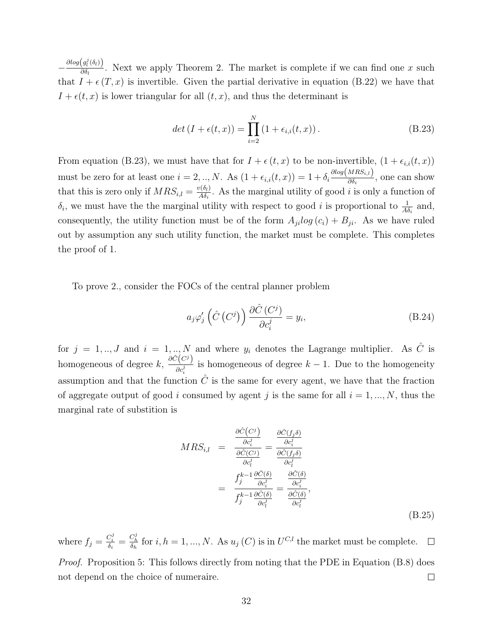$-\frac{\partial log(g_l^j(\delta_l))}{\partial \delta_l}$  $\frac{\partial g_l(v_l)}{\partial \delta_l}$ . Next we apply Theorem 2. The market is complete if we can find one x such that  $I + \epsilon(T, x)$  is invertible. Given the partial derivative in equation (B.22) we have that  $I + \epsilon(t, x)$  is lower triangular for all  $(t, x)$ , and thus the determinant is

$$
det (I + \epsilon(t, x)) = \prod_{i=2}^{N} (1 + \epsilon_{i,i}(t, x)).
$$
 (B.23)

From equation (B.23), we must have that for  $I + \epsilon(t, x)$  to be non-invertible,  $(1 + \epsilon_{i,i}(t, x))$ must be zero for at least one  $i = 2, ..., N$ . As  $(1 + \epsilon_{i,i}(t, x)) = 1 + \delta_i \frac{\partial \log(MRS_{i,i})}{\partial \delta_i}$  $\frac{\partial \delta_i}{\partial \delta_i}$ , one can show that this is zero only if  $MRS_{i,l} = \frac{v(\delta_l)}{AS_l}$  $\frac{\partial \langle \mathbf{a}_i \rangle}{\partial \mathbf{a}_i}$ . As the marginal utility of good *i* is only a function of  $\delta_i$ , we must have the the marginal utility with respect to good *i* is proportional to  $\frac{1}{A\delta_i}$  and, consequently, the utility function must be of the form  $A_{ji}log(c_i) + B_{ji}$ . As we have ruled out by assumption any such utility function, the market must be complete. This completes the proof of 1.

To prove 2., consider the FOCs of the central planner problem

$$
a_j \varphi_j' \left( \hat{C} \left( C^j \right) \right) \frac{\partial \hat{C} \left( C^j \right)}{\partial c_i^j} = y_i,
$$
\n(B.24)

for  $j = 1, ..., J$  and  $i = 1, ..., N$  and where  $y_i$  denotes the Lagrange multiplier. As  $\hat{C}$  is homogeneous of degree  $k, \frac{\partial \hat{C}(C^j)}{\partial \hat{J}}$  $\frac{\partial^{\alpha}}{\partial c_i^j}$  is homogeneous of degree  $k-1$ . Due to the homogeneity assumption and that the function  $\hat{C}$  is the same for every agent, we have that the fraction of aggregate output of good i consumed by agent j is the same for all  $i = 1, ..., N$ , thus the marginal rate of substition is

$$
MRS_{i,l} = \frac{\frac{\partial \hat{C}(C^{j})}{\partial c_{i}^{j}}}{\frac{\partial \hat{C}(C^{j})}{\partial c_{i}^{j}}} = \frac{\frac{\partial \hat{C}(f_{j}\delta)}{\partial c_{i}^{j}}}{\frac{\partial \hat{C}(f_{j}\delta)}{\partial c_{i}^{j}}}
$$

$$
= \frac{f_{j}^{k-1} \frac{\partial \hat{C}(\delta)}{\partial c_{i}^{j}}}{f_{j}^{k-1} \frac{\partial \hat{C}(\delta)}{\partial c_{i}^{j}}} = \frac{\frac{\partial \hat{C}(\delta)}{\partial c_{i}^{j}}}{\frac{\partial \hat{C}(\delta)}{\partial c_{i}^{j}}},
$$
(B.25)

where  $f_j = \frac{C_i^j}{\delta_i} = \frac{C_h^j}{\delta_h}$  for  $i, h = 1, ..., N$ . As  $u_j(C)$  is in  $U^{C,l}$  the market must be complete.  $\Box$ Proof. Proposition 5: This follows directly from noting that the PDE in Equation (B.8) does not depend on the choice of numeraire.  $\Box$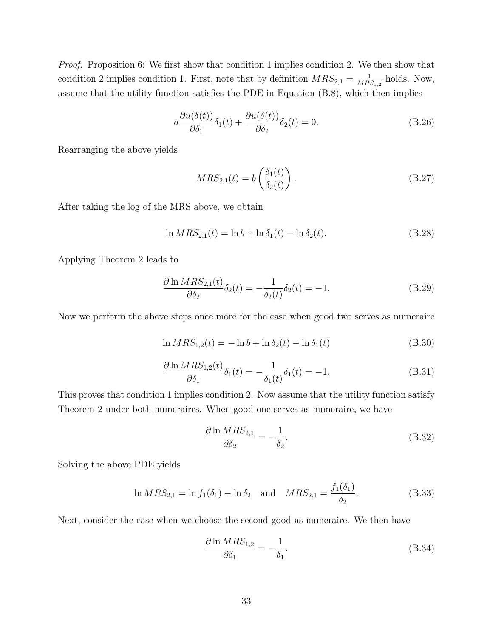Proof. Proposition 6: We first show that condition 1 implies condition 2. We then show that condition 2 implies condition 1. First, note that by definition  $MRS_{2,1} = \frac{1}{MR}$  $\frac{1}{MRS_{1,2}}$  holds. Now, assume that the utility function satisfies the PDE in Equation (B.8), which then implies

$$
a\frac{\partial u(\delta(t))}{\partial \delta_1}\delta_1(t) + \frac{\partial u(\delta(t))}{\partial \delta_2}\delta_2(t) = 0.
$$
 (B.26)

Rearranging the above yields

$$
MRS_{2,1}(t) = b\left(\frac{\delta_1(t)}{\delta_2(t)}\right). \tag{B.27}
$$

After taking the log of the MRS above, we obtain

$$
\ln MRS_{2,1}(t) = \ln b + \ln \delta_1(t) - \ln \delta_2(t). \tag{B.28}
$$

Applying Theorem 2 leads to

$$
\frac{\partial \ln MRS_{2,1}(t)}{\partial \delta_2} \delta_2(t) = -\frac{1}{\delta_2(t)} \delta_2(t) = -1.
$$
\n(B.29)

Now we perform the above steps once more for the case when good two serves as numeraire

$$
\ln MRS_{1,2}(t) = -\ln b + \ln \delta_2(t) - \ln \delta_1(t) \tag{B.30}
$$

$$
\frac{\partial \ln MRS_{1,2}(t)}{\partial \delta_1} \delta_1(t) = -\frac{1}{\delta_1(t)} \delta_1(t) = -1.
$$
\n(B.31)

This proves that condition 1 implies condition 2. Now assume that the utility function satisfy Theorem 2 under both numeraires. When good one serves as numeraire, we have

$$
\frac{\partial \ln MRS_{2,1}}{\partial \delta_2} = -\frac{1}{\delta_2}.\tag{B.32}
$$

Solving the above PDE yields

$$
\ln MRS_{2,1} = \ln f_1(\delta_1) - \ln \delta_2 \quad \text{and} \quad MRS_{2,1} = \frac{f_1(\delta_1)}{\delta_2}.
$$
 (B.33)

Next, consider the case when we choose the second good as numeraire. We then have

$$
\frac{\partial \ln MRS_{1,2}}{\partial \delta_1} = -\frac{1}{\delta_1}.\tag{B.34}
$$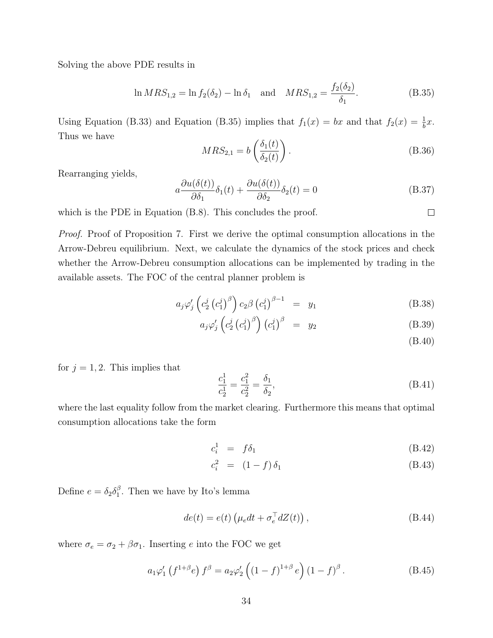Solving the above PDE results in

$$
\ln MRS_{1,2} = \ln f_2(\delta_2) - \ln \delta_1 \quad \text{and} \quad MRS_{1,2} = \frac{f_2(\delta_2)}{\delta_1}.
$$
 (B.35)

Using Equation (B.33) and Equation (B.35) implies that  $f_1(x) = bx$  and that  $f_2(x) = \frac{1}{b}x$ . Thus we have  $\lambda$   $\sim$   $\lambda$ 

$$
MRS_{2,1} = b\left(\frac{\delta_1(t)}{\delta_2(t)}\right). \tag{B.36}
$$

Rearranging yields,

$$
a \frac{\partial u(\delta(t))}{\partial \delta_1} \delta_1(t) + \frac{\partial u(\delta(t))}{\partial \delta_2} \delta_2(t) = 0
$$
 (B.37)

which is the PDE in Equation  $(B.8)$ . This concludes the proof.

Proof. Proof of Proposition 7. First we derive the optimal consumption allocations in the Arrow-Debreu equilibrium. Next, we calculate the dynamics of the stock prices and check whether the Arrow-Debreu consumption allocations can be implemented by trading in the available assets. The FOC of the central planner problem is

$$
a_j \varphi_j' \left( c_2^j \left( c_1^j \right)^{\beta} \right) c_2 \beta \left( c_1^j \right)^{\beta - 1} = y_1 \tag{B.38}
$$

$$
a_j \varphi_j' \left( c_2^j \left( c_1^j \right)^{\beta} \right) \left( c_1^j \right)^{\beta} = y_2 \tag{B.39}
$$

(B.40)

 $\Box$ 

for  $j = 1, 2$ . This implies that

$$
\frac{c_1^1}{c_2^1} = \frac{c_1^2}{c_2^2} = \frac{\delta_1}{\delta_2},\tag{B.41}
$$

where the last equality follow from the market clearing. Furthermore this means that optimal consumption allocations take the form

$$
c_i^1 = f\delta_1 \tag{B.42}
$$

$$
c_i^2 = (1 - f) \, \delta_1 \tag{B.43}
$$

Define  $e = \delta_2 \delta_1^{\beta}$  $\int_{1}^{\beta}$ . Then we have by Ito's lemma

$$
de(t) = e(t) \left( \mu_e dt + \sigma_e^{\top} dZ(t) \right), \tag{B.44}
$$

where  $\sigma_e = \sigma_2 + \beta \sigma_1$ . Inserting e into the FOC we get

$$
a_1 \varphi_1' \left( f^{1+\beta} e \right) f^{\beta} = a_2 \varphi_2' \left( (1-f)^{1+\beta} e \right) (1-f)^{\beta} . \tag{B.45}
$$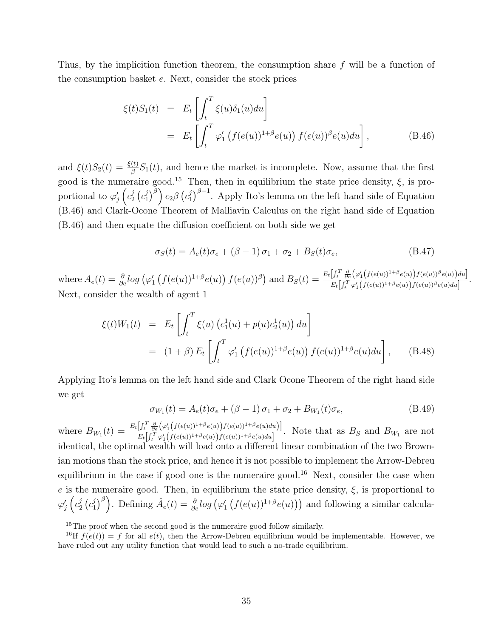Thus, by the implicition function theorem, the consumption share f will be a function of the consumption basket e. Next, consider the stock prices

$$
\xi(t)S_1(t) = E_t \left[ \int_t^T \xi(u)\delta_1(u)du \right]
$$
  
= 
$$
E_t \left[ \int_t^T \varphi'_1 \left( f(e(u))^{1+\beta}e(u) \right) f(e(u))^{\beta}e(u)du \right],
$$
 (B.46)

and  $\xi(t)S_2(t) = \frac{\xi(t)}{\beta}S_1(t)$ , and hence the market is incomplete. Now, assume that the first good is the numeraire good.<sup>15</sup> Then, then in equilibrium the state price density,  $\xi$ , is proportional to  $\varphi'_j\left(c_2^j\right)$  $_2^j\left( c_1^j\right.$  $\left( c_1^j\right)^\beta\right) c_2\beta\left( c_1^j\right)$  $\int_1^j \rho^{j-1}$ . Apply Ito's lemma on the left hand side of Equation (B.46) and Clark-Ocone Theorem of Malliavin Calculus on the right hand side of Equation (B.46) and then equate the diffusion coefficient on both side we get

$$
\sigma_S(t) = A_e(t)\sigma_e + (\beta - 1)\sigma_1 + \sigma_2 + B_S(t)\sigma_e, \tag{B.47}
$$

where  $A_e(t) = \frac{\partial}{\partial e} log \left( \varphi'_1 \left( f(e(u))^{1+\beta} e(u) \right) f(e(u))^{\beta} \right)$  and  $B_S(t) = \frac{E_t \left[ \int_t^T \frac{\partial}{\partial e} \left( \varphi'_1 \left( f(e(u))^{1+\beta} e(u) \right) f(e(u))^{\beta} e(u) \right) du \right]}{E_t \left[ \int_t^T \varphi'_1 \left( f(e(u))^{1+\beta} e(u) \right) f(e(u))^{\beta} e(u) du \right]}$  $\frac{[J_t - \partial_e(\forall 1 (J(c(u)) - c(u))J(c(u)) - c(u))du]}{E_t \Big[\int_t^T \varphi_1' \Big(f(e(u))^{1+\beta}e(u)\Big)f(e(u))^{\beta}e(u)du\Big]}.$ Next, consider the wealth of agent 1

$$
\xi(t)W_1(t) = E_t \left[ \int_t^T \xi(u) (c_1^1(u) + p(u)c_2^1(u)) du \right]
$$
  
=  $(1 + \beta) E_t \left[ \int_t^T \varphi'_1 (f(e(u))^{1+\beta} e(u)) f(e(u))^{1+\beta} e(u) du \right],$  (B.48)

Applying Ito's lemma on the left hand side and Clark Ocone Theorem of the right hand side we get

$$
\sigma_{W_1}(t) = A_e(t)\sigma_e + (\beta - 1)\sigma_1 + \sigma_2 + B_{W_1}(t)\sigma_e, \tag{B.49}
$$

where  $B_{W_1}(t) = \frac{E_t\left[\int_t^T \frac{\partial}{\partial e}(\varphi_1'(f(e(u)))^{1+\beta}e(u))f(e(u)))^{1+\beta}e(u)du\right]}{E_t\left[\int_t^T \varphi_1'(f(e(u)))^{1+\beta}e(u))f(e(u))^{1+\beta}e(u)du\right]}$  $\frac{\left[ \int_t^T \partial_e \left( \gamma_1(f(e(u))) - e(u) \right) f(e(u)) \right] e(u(u))}{\left[ \int_t^T \gamma_1'(f(e(u))^1 + \beta e(u)) f(e(u))^1 + \beta e(u) du \right]}$ . Note that as  $B_S$  and  $B_{W_1}$  are not identical, the optimal wealth will load onto a different linear combination of the two Brownian motions than the stock price, and hence it is not possible to implement the Arrow-Debreu equilibrium in the case if good one is the numeraire good.<sup>16</sup> Next, consider the case when e is the numeraire good. Then, in equilibrium the state price density,  $\xi$ , is proportional to  $\varphi'_j\left(c_2^j\right)$  $_2^j\left( c_1^j\right.$  $\left(\frac{j}{n}\right)^{\beta}$ . Defining  $\hat{A}_e(t) = \frac{\partial}{\partial e} log \left( \varphi_1' \left( f(e(u))^{1+\beta} e(u) \right) \right)$  and following a similar calcula-

<sup>&</sup>lt;sup>15</sup>The proof when the second good is the numeraire good follow similarly.

<sup>&</sup>lt;sup>16</sup>If  $f(e(t)) = f$  for all  $e(t)$ , then the Arrow-Debreu equilibrium would be implementable. However, we have ruled out any utility function that would lead to such a no-trade equilibrium.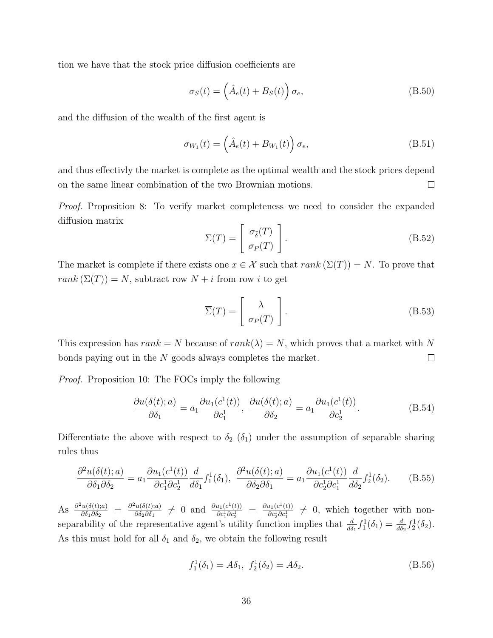tion we have that the stock price diffusion coefficients are

$$
\sigma_S(t) = \left(\hat{A}_e(t) + B_S(t)\right)\sigma_e, \tag{B.50}
$$

and the diffusion of the wealth of the first agent is

$$
\sigma_{W_1}(t) = \left(\hat{A}_e(t) + B_{W_1}(t)\right)\sigma_e, \tag{B.51}
$$

and thus effectivly the market is complete as the optimal wealth and the stock prices depend on the same linear combination of the two Brownian motions.  $\Box$ 

Proof. Proposition 8: To verify market completeness we need to consider the expanded diffusion matrix

$$
\Sigma(T) = \begin{bmatrix} \sigma_{\tilde{\delta}}(T) \\ \sigma_P(T) \end{bmatrix}.
$$
\n(B.52)

The market is complete if there exists one  $x \in \mathcal{X}$  such that  $rank(\Sigma(T)) = N$ . To prove that  $rank(\Sigma(T)) = N$ , subtract row  $N + i$  from row i to get

$$
\overline{\Sigma}(T) = \begin{bmatrix} \lambda \\ \sigma_P(T) \end{bmatrix} .
$$
 (B.53)

This expression has  $rank = N$  because of  $rank(\lambda) = N$ , which proves that a market with N bonds paying out in the N goods always completes the market.  $\Box$ 

Proof. Proposition 10: The FOCs imply the following

$$
\frac{\partial u(\delta(t);a)}{\partial \delta_1} = a_1 \frac{\partial u_1(c^1(t))}{\partial c_1^1}, \frac{\partial u(\delta(t);a)}{\partial \delta_2} = a_1 \frac{\partial u_1(c^1(t))}{\partial c_2^1}.
$$
 (B.54)

Differentiate the above with respect to  $\delta_2$  ( $\delta_1$ ) under the assumption of separable sharing rules thus

$$
\frac{\partial^2 u(\delta(t);a)}{\partial \delta_1 \partial \delta_2} = a_1 \frac{\partial u_1(c^1(t))}{\partial c_1^1 \partial c_2^1} \frac{d}{d\delta_1} f_1^1(\delta_1), \quad \frac{\partial^2 u(\delta(t);a)}{\partial \delta_2 \partial \delta_1} = a_1 \frac{\partial u_1(c^1(t))}{\partial c_2^1 \partial c_1^1} \frac{d}{d\delta_2} f_2^1(\delta_2). \tag{B.55}
$$

As  $\frac{\partial^2 u(\delta(t);a)}{\partial \delta_1 \partial \delta_2}$  $\frac{\partial^2 u(\delta(t);a)}{\partial \delta_1 \partial \delta_2} = \frac{\partial^2 u(\delta(t);a)}{\partial \delta_2 \partial \delta_1}$  $\frac{\partial^2 u(\delta(t);a)}{\partial \delta_2 \partial \delta_1} \neq 0$  and  $\frac{\partial u_1(c^1(t))}{\partial c_1^1 \partial c_2^1}$  $\frac{\partial u_1(c^1(t))}{\partial c_1^1 \partial c_2^1} = \frac{\partial u_1(c^1(t))}{\partial c_2^1 \partial c_1^1}$  $\frac{\partial u_1(c^+(t))}{\partial c_2^1 \partial c_1^1} \neq 0$ , which together with nonseparability of the representative agent's utility function implies that  $\frac{d}{d\delta_1} f_1^1(\delta_1) = \frac{d}{d\delta_2} f_2^1(\delta_2)$ . As this must hold for all  $\delta_1$  and  $\delta_2$ , we obtain the following result

$$
f_1^1(\delta_1) = A\delta_1, \ f_2^1(\delta_2) = A\delta_2. \tag{B.56}
$$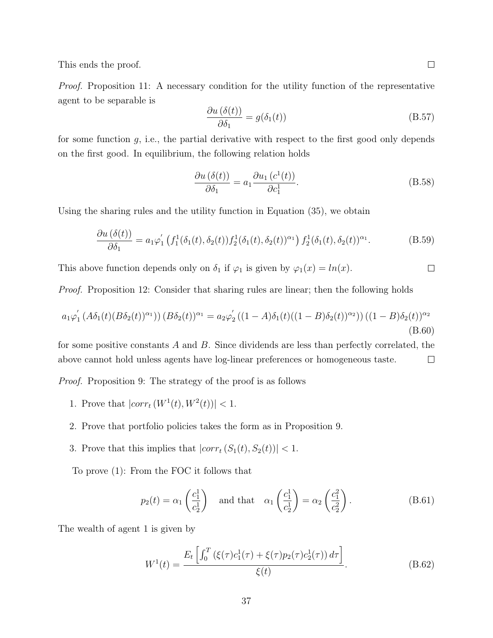This ends the proof.

Proof. Proposition 11: A necessary condition for the utility function of the representative agent to be separable is

$$
\frac{\partial u\left(\delta(t)\right)}{\partial \delta_1} = g(\delta_1(t))\tag{B.57}
$$

for some function  $g$ , i.e., the partial derivative with respect to the first good only depends on the first good. In equilibrium, the following relation holds

$$
\frac{\partial u\left(\delta(t)\right)}{\partial \delta_1} = a_1 \frac{\partial u_1\left(c^1(t)\right)}{\partial c_1^1}.
$$
\n(B.58)

Using the sharing rules and the utility function in Equation (35), we obtain

$$
\frac{\partial u(\delta(t))}{\partial \delta_1} = a_1 \varphi_1' \left( f_1^1(\delta_1(t), \delta_2(t)) f_2^1(\delta_1(t), \delta_2(t))^{\alpha_1} \right) f_2^1(\delta_1(t), \delta_2(t))^{\alpha_1}.
$$
 (B.59)

This above function depends only on  $\delta_1$  if  $\varphi_1$  is given by  $\varphi_1(x) = \ln(x)$ .  $\Box$ 

*Proof.* Proposition 12: Consider that sharing rules are linear; then the following holds

$$
a_1\varphi_1' \left( A\delta_1(t)(B\delta_2(t))^{\alpha_1} \right) \left( B\delta_2(t) \right)^{\alpha_1} = a_2\varphi_2' \left( (1-A)\delta_1(t)((1-B)\delta_2(t))^{\alpha_2} \right) \left( (1-B)\delta_2(t) \right)^{\alpha_2}
$$
\n(B.60)

for some positive constants  $A$  and  $B$ . Since dividends are less than perfectly correlated, the above cannot hold unless agents have log-linear preferences or homogeneous taste.  $\Box$ 

Proof. Proposition 9: The strategy of the proof is as follows

- 1. Prove that  $|corr_t(W^1(t), W^2(t))| < 1$ .
- 2. Prove that portfolio policies takes the form as in Proposition 9.
- 3. Prove that this implies that  $\left| corr_t\left(S_1(t),S_2(t)\right)\right| <1.$

To prove (1): From the FOC it follows that

$$
p_2(t) = \alpha_1 \left(\frac{c_1^1}{c_2^1}\right) \quad \text{and that} \quad \alpha_1 \left(\frac{c_1^1}{c_2^1}\right) = \alpha_2 \left(\frac{c_1^2}{c_2^2}\right). \tag{B.61}
$$

The wealth of agent 1 is given by

$$
W^{1}(t) = \frac{E_{t}\left[\int_{0}^{T} \left(\xi(\tau)c_{1}^{1}(\tau) + \xi(\tau)p_{2}(\tau)c_{2}^{1}(\tau)\right)d\tau\right]}{\xi(t)}.
$$
\n(B.62)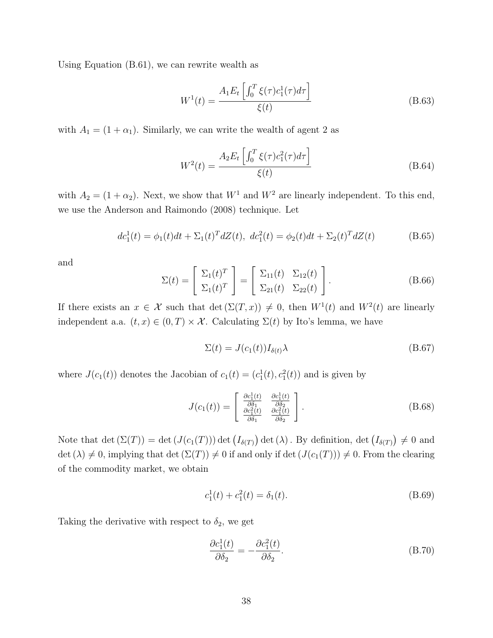Using Equation (B.61), we can rewrite wealth as

$$
W^{1}(t) = \frac{A_{1}E_{t}\left[\int_{0}^{T}\xi(\tau)c_{1}^{1}(\tau)d\tau\right]}{\xi(t)}
$$
(B.63)

with  $A_1 = (1 + \alpha_1)$ . Similarly, we can write the wealth of agent 2 as

$$
W^{2}(t) = \frac{A_{2}E_{t}\left[\int_{0}^{T}\xi(\tau)c_{1}^{2}(\tau)d\tau\right]}{\xi(t)}
$$
(B.64)

with  $A_2 = (1 + \alpha_2)$ . Next, we show that  $W^1$  and  $W^2$  are linearly independent. To this end, we use the Anderson and Raimondo (2008) technique. Let

$$
dc_1^1(t) = \phi_1(t)dt + \Sigma_1(t)^T dZ(t), \ dc_1^2(t) = \phi_2(t)dt + \Sigma_2(t)^T dZ(t)
$$
 (B.65)

and

$$
\Sigma(t) = \begin{bmatrix} \Sigma_1(t)^T \\ \Sigma_1(t)^T \end{bmatrix} = \begin{bmatrix} \Sigma_{11}(t) & \Sigma_{12}(t) \\ \Sigma_{21}(t) & \Sigma_{22}(t) \end{bmatrix}.
$$
 (B.66)

If there exists an  $x \in \mathcal{X}$  such that  $\det(\Sigma(T, x)) \neq 0$ , then  $W^1(t)$  and  $W^2(t)$  are linearly independent a.a.  $(t, x) \in (0, T) \times \mathcal{X}$ . Calculating  $\Sigma(t)$  by Ito's lemma, we have

$$
\Sigma(t) = J(c_1(t))I_{\delta(t)}\lambda
$$
\n(B.67)

where  $J(c_1(t))$  denotes the Jacobian of  $c_1(t) = (c_1^1(t), c_1^2(t))$  and is given by

$$
J(c_1(t)) = \begin{bmatrix} \frac{\partial c_1^1(t)}{\partial \delta_1} & \frac{\partial c_1^1(t)}{\partial \delta_2} \\ \frac{\partial c_1^2(t)}{\partial \delta_1} & \frac{\partial c_1^2(t)}{\partial \delta_2} \end{bmatrix}.
$$
 (B.68)

Note that  $\det(\Sigma(T)) = \det(J(c_1(T))) \det(I_{\delta(T)}) \det(\lambda)$ . By definition,  $\det(I_{\delta(T)}) \neq 0$  and det  $(\lambda) \neq 0$ , implying that det  $(\Sigma(T)) \neq 0$  if and only if det  $(J(c_1(T))) \neq 0$ . From the clearing of the commodity market, we obtain

$$
c_1^1(t) + c_1^2(t) = \delta_1(t). \tag{B.69}
$$

Taking the derivative with respect to  $\delta_2$ , we get

$$
\frac{\partial c_1^1(t)}{\partial \delta_2} = -\frac{\partial c_1^2(t)}{\partial \delta_2}.
$$
\n(B.70)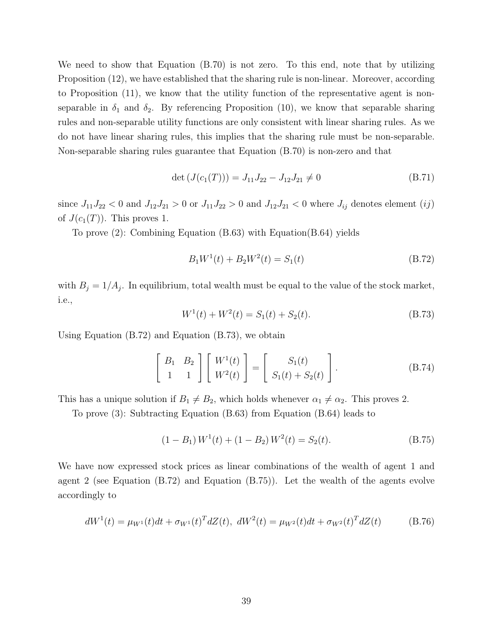We need to show that Equation (B.70) is not zero. To this end, note that by utilizing Proposition (12), we have established that the sharing rule is non-linear. Moreover, according to Proposition (11), we know that the utility function of the representative agent is nonseparable in  $\delta_1$  and  $\delta_2$ . By referencing Proposition (10), we know that separable sharing rules and non-separable utility functions are only consistent with linear sharing rules. As we do not have linear sharing rules, this implies that the sharing rule must be non-separable. Non-separable sharing rules guarantee that Equation (B.70) is non-zero and that

$$
\det\left(J(c_1(T))\right) = J_{11}J_{22} - J_{12}J_{21} \neq 0\tag{B.71}
$$

since  $J_{11}J_{22} < 0$  and  $J_{12}J_{21} > 0$  or  $J_{11}J_{22} > 0$  and  $J_{12}J_{21} < 0$  where  $J_{ij}$  denotes element  $(ij)$ of  $J(c_1(T))$ . This proves 1.

To prove (2): Combining Equation (B.63) with Equation(B.64) yields

$$
B_1W^1(t) + B_2W^2(t) = S_1(t)
$$
\n(B.72)

with  $B_j = 1/A_j$ . In equilibrium, total wealth must be equal to the value of the stock market, i.e.,

$$
W^{1}(t) + W^{2}(t) = S_{1}(t) + S_{2}(t).
$$
\n(B.73)

Using Equation (B.72) and Equation (B.73), we obtain

$$
\begin{bmatrix} B_1 & B_2 \ 1 & 1 \end{bmatrix} \begin{bmatrix} W^1(t) \\ W^2(t) \end{bmatrix} = \begin{bmatrix} S_1(t) \\ S_1(t) + S_2(t) \end{bmatrix}.
$$
 (B.74)

This has a unique solution if  $B_1 \neq B_2$ , which holds whenever  $\alpha_1 \neq \alpha_2$ . This proves 2.

To prove (3): Subtracting Equation (B.63) from Equation (B.64) leads to

$$
(1 - B_1) W1(t) + (1 - B_2) W2(t) = S_2(t).
$$
 (B.75)

We have now expressed stock prices as linear combinations of the wealth of agent 1 and agent 2 (see Equation (B.72) and Equation (B.75)). Let the wealth of the agents evolve accordingly to

$$
dW^{1}(t) = \mu_{W^{1}}(t)dt + \sigma_{W^{1}}(t)^{T}dZ(t), \quad dW^{2}(t) = \mu_{W^{2}}(t)dt + \sigma_{W^{2}}(t)^{T}dZ(t)
$$
(B.76)